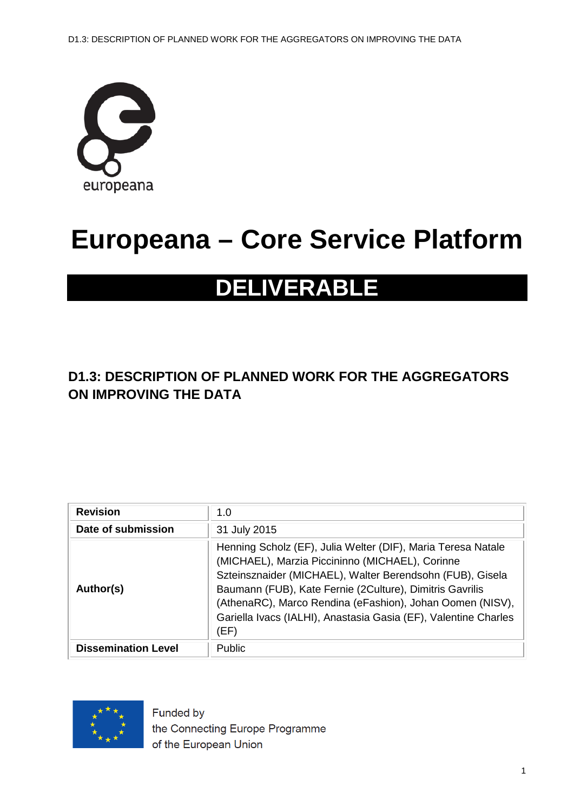

# **Europeana – Core Service Platform**

# **DELIVERABLE**

# **D1.3: DESCRIPTION OF PLANNED WORK FOR THE AGGREGATORS ON IMPROVING THE DATA**

| <b>Revision</b>            | 1.0                                                                                                                                                                                                                                                                                                                                                                              |
|----------------------------|----------------------------------------------------------------------------------------------------------------------------------------------------------------------------------------------------------------------------------------------------------------------------------------------------------------------------------------------------------------------------------|
| Date of submission         | 31 July 2015                                                                                                                                                                                                                                                                                                                                                                     |
| Author(s)                  | Henning Scholz (EF), Julia Welter (DIF), Maria Teresa Natale<br>(MICHAEL), Marzia Piccininno (MICHAEL), Corinne<br>Szteinsznaider (MICHAEL), Walter Berendsohn (FUB), Gisela<br>Baumann (FUB), Kate Fernie (2Culture), Dimitris Gavrilis<br>(AthenaRC), Marco Rendina (eFashion), Johan Oomen (NISV),<br>Gariella Ivacs (IALHI), Anastasia Gasia (EF), Valentine Charles<br>(EF) |
| <b>Dissemination Level</b> | <b>Public</b>                                                                                                                                                                                                                                                                                                                                                                    |



Funded by the Connecting Europe Programme of the European Union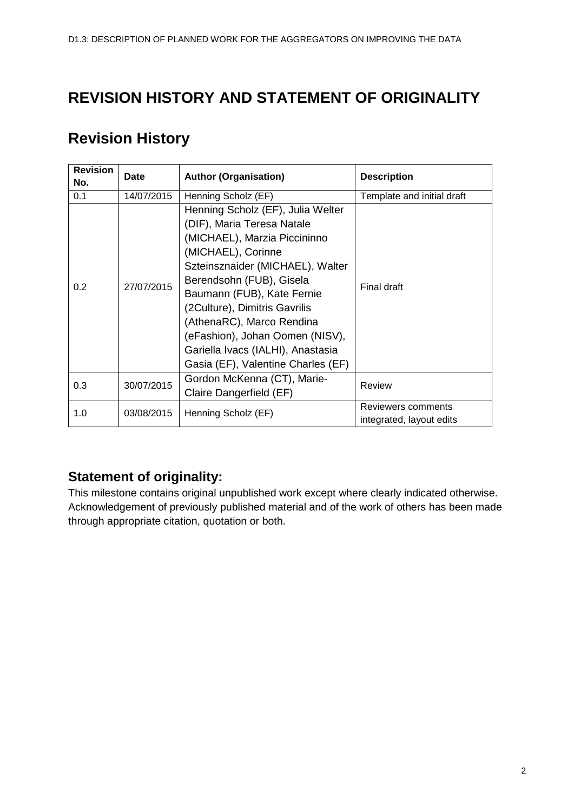# **REVISION HISTORY AND STATEMENT OF ORIGINALITY**

# **Revision History**

| <b>Revision</b><br>No. | Date       | <b>Author (Organisation)</b>                                                                                                                                                                                                                                                                                                                                                                    | <b>Description</b>                             |
|------------------------|------------|-------------------------------------------------------------------------------------------------------------------------------------------------------------------------------------------------------------------------------------------------------------------------------------------------------------------------------------------------------------------------------------------------|------------------------------------------------|
| 0.1                    | 14/07/2015 | Henning Scholz (EF)                                                                                                                                                                                                                                                                                                                                                                             | Template and initial draft                     |
| 0.2                    | 27/07/2015 | Henning Scholz (EF), Julia Welter<br>(DIF), Maria Teresa Natale<br>(MICHAEL), Marzia Piccininno<br>(MICHAEL), Corinne<br>Szteinsznaider (MICHAEL), Walter<br>Berendsohn (FUB), Gisela<br>Baumann (FUB), Kate Fernie<br>(2Culture), Dimitris Gavrilis<br>(AthenaRC), Marco Rendina<br>(eFashion), Johan Oomen (NISV),<br>Gariella Ivacs (IALHI), Anastasia<br>Gasia (EF), Valentine Charles (EF) | Final draft                                    |
| 0.3                    | 30/07/2015 | Gordon McKenna (CT), Marie-<br>Claire Dangerfield (EF)                                                                                                                                                                                                                                                                                                                                          | Review                                         |
| 1.0                    | 03/08/2015 | Henning Scholz (EF)                                                                                                                                                                                                                                                                                                                                                                             | Reviewers comments<br>integrated, layout edits |

## **Statement of originality:**

This milestone contains original unpublished work except where clearly indicated otherwise. Acknowledgement of previously published material and of the work of others has been made through appropriate citation, quotation or both.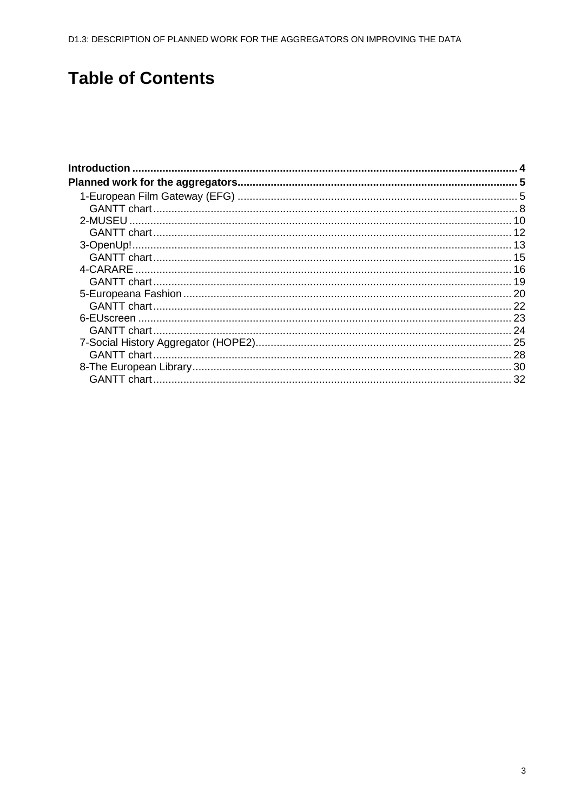# **Table of Contents**

 $\overline{a}$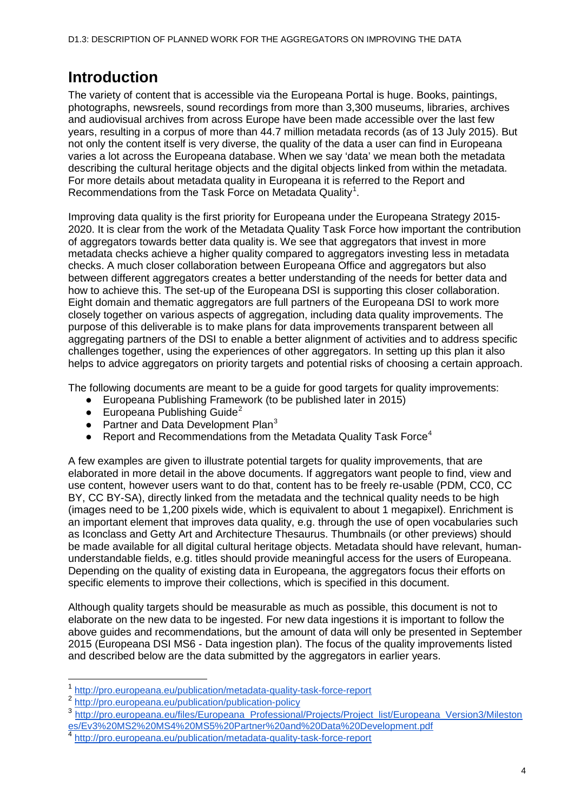# <span id="page-3-0"></span>**Introduction**

The variety of content that is accessible via the Europeana Portal is huge. Books, paintings, photographs, newsreels, sound recordings from more than 3,300 museums, libraries, archives and audiovisual archives from across Europe have been made accessible over the last few years, resulting in a corpus of more than 44.7 million metadata records (as of 13 July 2015). But not only the content itself is very diverse, the quality of the data a user can find in Europeana varies a lot across the Europeana database. When we say 'data' we mean both the metadata describing the cultural heritage objects and the digital objects linked from within the metadata. For more details about metadata quality in Europeana it is referred to the Report and Recommendations from the Task Force on Metadata Quality<sup>[1](#page-3-1)</sup>.

Improving data quality is the first priority for Europeana under the Europeana Strategy 2015- 2020. It is clear from the work of the Metadata Quality Task Force how important the contribution of aggregators towards better data quality is. We see that aggregators that invest in more metadata checks achieve a higher quality compared to aggregators investing less in metadata checks. A much closer collaboration between Europeana Office and aggregators but also between different aggregators creates a better understanding of the needs for better data and how to achieve this. The set-up of the Europeana DSI is supporting this closer collaboration. Eight domain and thematic aggregators are full partners of the Europeana DSI to work more closely together on various aspects of aggregation, including data quality improvements. The purpose of this deliverable is to make plans for data improvements transparent between all aggregating partners of the DSI to enable a better alignment of activities and to address specific challenges together, using the experiences of other aggregators. In setting up this plan it also helps to advice aggregators on priority targets and potential risks of choosing a certain approach.

The following documents are meant to be a guide for good targets for quality improvements:

- Europeana Publishing Framework (to be published later in 2015)
- **•** Europeana Publishing Guide<sup>[2](#page-3-2)</sup>
- Partner and Data Development Plan $3$
- Report and Recommendations from the Metadata Quality Task Force<sup>[4](#page-3-4)</sup>

A few examples are given to illustrate potential targets for quality improvements, that are elaborated in more detail in the above documents. If aggregators want people to find, view and use content, however users want to do that, content has to be freely re-usable (PDM, CC0, CC BY, CC BY-SA), directly linked from the metadata and the technical quality needs to be high (images need to be 1,200 pixels wide, which is equivalent to about 1 megapixel). Enrichment is an important element that improves data quality, e.g. through the use of open vocabularies such as Iconclass and Getty Art and Architecture Thesaurus. Thumbnails (or other previews) should be made available for all digital cultural heritage objects. Metadata should have relevant, humanunderstandable fields, e.g. titles should provide meaningful access for the users of Europeana. Depending on the quality of existing data in Europeana, the aggregators focus their efforts on specific elements to improve their collections, which is specified in this document.

Although quality targets should be measurable as much as possible, this document is not to elaborate on the new data to be ingested. For new data ingestions it is important to follow the above guides and recommendations, but the amount of data will only be presented in September 2015 (Europeana DSI MS6 - Data ingestion plan). The focus of the quality improvements listed and described below are the data submitted by the aggregators in earlier years.

 <sup>1</sup> <http://pro.europeana.eu/publication/metadata-quality-task-force-report>

<span id="page-3-2"></span><span id="page-3-1"></span><sup>2</sup> <http://pro.europeana.eu/publication/publication-policy>

<span id="page-3-3"></span><sup>3</sup> [http://pro.europeana.eu/files/Europeana\\_Professional/Projects/Project\\_list/Europeana\\_Version3/Mileston](http://pro.europeana.eu/files/Europeana_Professional/Projects/Project_list/Europeana_Version3/Milestones/Ev3%20MS2%20MS4%20MS5%20Partner%20and%20Data%20Development.pdf) [es/Ev3%20MS2%20MS4%20MS5%20Partner%20and%20Data%20Development.pdf](http://pro.europeana.eu/files/Europeana_Professional/Projects/Project_list/Europeana_Version3/Milestones/Ev3%20MS2%20MS4%20MS5%20Partner%20and%20Data%20Development.pdf)

<span id="page-3-4"></span><sup>4</sup> <http://pro.europeana.eu/publication/metadata-quality-task-force-report>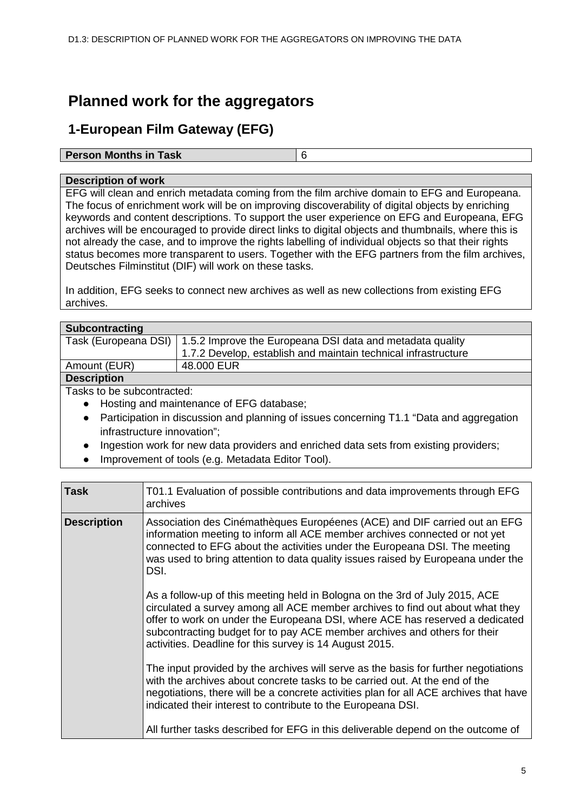# <span id="page-4-0"></span>**Planned work for the aggregators**

## <span id="page-4-1"></span>**1-European Film Gateway (EFG)**

#### **Person Months in Task** 6

#### **Description of work**

EFG will clean and enrich metadata coming from the film archive domain to EFG and Europeana. The focus of enrichment work will be on improving discoverability of digital objects by enriching keywords and content descriptions. To support the user experience on EFG and Europeana, EFG archives will be encouraged to provide direct links to digital objects and thumbnails, where this is not already the case, and to improve the rights labelling of individual objects so that their rights status becomes more transparent to users. Together with the EFG partners from the film archives, Deutsches Filminstitut (DIF) will work on these tasks.

In addition, EFG seeks to connect new archives as well as new collections from existing EFG archives.

| Subcontracting                                                 |                                                                                          |  |  |  |
|----------------------------------------------------------------|------------------------------------------------------------------------------------------|--|--|--|
| Task (Europeana DSI)                                           | 1.5.2 Improve the Europeana DSI data and metadata quality                                |  |  |  |
| 1.7.2 Develop, establish and maintain technical infrastructure |                                                                                          |  |  |  |
| Amount (EUR)                                                   | 48.000 EUR                                                                               |  |  |  |
| <b>Description</b>                                             |                                                                                          |  |  |  |
| Tasks to be subcontracted:                                     |                                                                                          |  |  |  |
| $\bullet$                                                      | Hosting and maintenance of EFG database;                                                 |  |  |  |
| $\bullet$                                                      | Participation in discussion and planning of issues concerning T1.1 "Data and aggregation |  |  |  |
| infrastructure innovation";                                    |                                                                                          |  |  |  |
|                                                                |                                                                                          |  |  |  |

- Ingestion work for new data providers and enriched data sets from existing providers;
- Improvement of tools (e.g. Metadata Editor Tool).

| <b>Task</b>        | T01.1 Evaluation of possible contributions and data improvements through EFG<br>archives                                                                                                                                                                                                                                                                                             |
|--------------------|--------------------------------------------------------------------------------------------------------------------------------------------------------------------------------------------------------------------------------------------------------------------------------------------------------------------------------------------------------------------------------------|
| <b>Description</b> | Association des Cinémathèques Européenes (ACE) and DIF carried out an EFG<br>information meeting to inform all ACE member archives connected or not yet<br>connected to EFG about the activities under the Europeana DSI. The meeting<br>was used to bring attention to data quality issues raised by Europeana under the<br>DSI.                                                    |
|                    | As a follow-up of this meeting held in Bologna on the 3rd of July 2015, ACE<br>circulated a survey among all ACE member archives to find out about what they<br>offer to work on under the Europeana DSI, where ACE has reserved a dedicated<br>subcontracting budget for to pay ACE member archives and others for their<br>activities. Deadline for this survey is 14 August 2015. |
|                    | The input provided by the archives will serve as the basis for further negotiations<br>with the archives about concrete tasks to be carried out. At the end of the<br>negotiations, there will be a concrete activities plan for all ACE archives that have<br>indicated their interest to contribute to the Europeana DSI.                                                          |
|                    | All further tasks described for EFG in this deliverable depend on the outcome of                                                                                                                                                                                                                                                                                                     |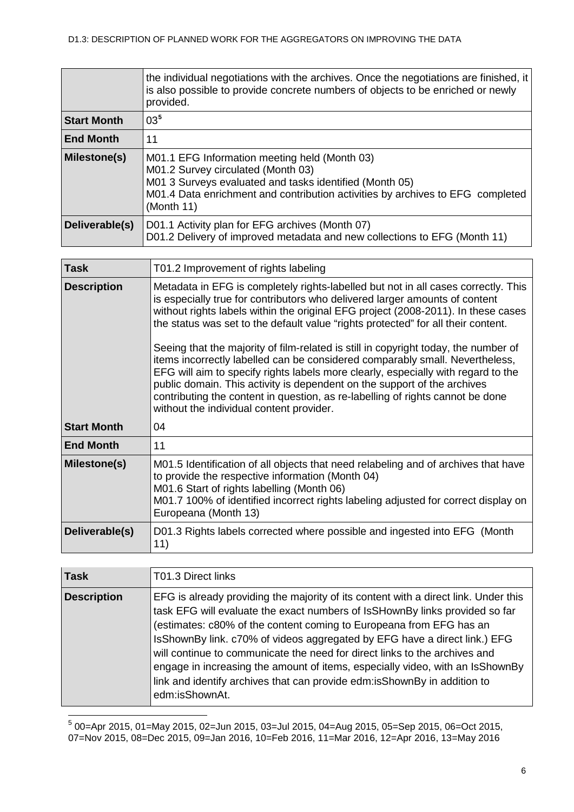|                    | the individual negotiations with the archives. Once the negotiations are finished, it<br>is also possible to provide concrete numbers of objects to be enriched or newly<br>provided.                                                                                                                                                                                                                                                                                                                                                                                                                                                                                                                                                                                                                             |  |  |  |  |  |  |  |  |
|--------------------|-------------------------------------------------------------------------------------------------------------------------------------------------------------------------------------------------------------------------------------------------------------------------------------------------------------------------------------------------------------------------------------------------------------------------------------------------------------------------------------------------------------------------------------------------------------------------------------------------------------------------------------------------------------------------------------------------------------------------------------------------------------------------------------------------------------------|--|--|--|--|--|--|--|--|
| <b>Start Month</b> | 03 <sup>5</sup>                                                                                                                                                                                                                                                                                                                                                                                                                                                                                                                                                                                                                                                                                                                                                                                                   |  |  |  |  |  |  |  |  |
| <b>End Month</b>   | 11                                                                                                                                                                                                                                                                                                                                                                                                                                                                                                                                                                                                                                                                                                                                                                                                                |  |  |  |  |  |  |  |  |
| Milestone(s)       | M01.1 EFG Information meeting held (Month 03)<br>M01.2 Survey circulated (Month 03)<br>M01 3 Surveys evaluated and tasks identified (Month 05)<br>M01.4 Data enrichment and contribution activities by archives to EFG completed<br>(Month 11)                                                                                                                                                                                                                                                                                                                                                                                                                                                                                                                                                                    |  |  |  |  |  |  |  |  |
| Deliverable(s)     | D01.1 Activity plan for EFG archives (Month 07)<br>D01.2 Delivery of improved metadata and new collections to EFG (Month 11)                                                                                                                                                                                                                                                                                                                                                                                                                                                                                                                                                                                                                                                                                      |  |  |  |  |  |  |  |  |
| <b>Task</b>        |                                                                                                                                                                                                                                                                                                                                                                                                                                                                                                                                                                                                                                                                                                                                                                                                                   |  |  |  |  |  |  |  |  |
|                    | T01.2 Improvement of rights labeling                                                                                                                                                                                                                                                                                                                                                                                                                                                                                                                                                                                                                                                                                                                                                                              |  |  |  |  |  |  |  |  |
| <b>Description</b> | Metadata in EFG is completely rights-labelled but not in all cases correctly. This<br>is especially true for contributors who delivered larger amounts of content<br>without rights labels within the original EFG project (2008-2011). In these cases<br>the status was set to the default value "rights protected" for all their content.<br>Seeing that the majority of film-related is still in copyright today, the number of<br>items incorrectly labelled can be considered comparably small. Nevertheless,<br>EFG will aim to specify rights labels more clearly, especially with regard to the<br>public domain. This activity is dependent on the support of the archives<br>contributing the content in question, as re-labelling of rights cannot be done<br>without the individual content provider. |  |  |  |  |  |  |  |  |
| <b>Start Month</b> | 04                                                                                                                                                                                                                                                                                                                                                                                                                                                                                                                                                                                                                                                                                                                                                                                                                |  |  |  |  |  |  |  |  |
| <b>End Month</b>   | 11                                                                                                                                                                                                                                                                                                                                                                                                                                                                                                                                                                                                                                                                                                                                                                                                                |  |  |  |  |  |  |  |  |
| Milestone(s)       | M01.5 Identification of all objects that need relabeling and of archives that have<br>to provide the respective information (Month 04)<br>M01.6 Start of rights labelling (Month 06)<br>M01.7 100% of identified incorrect rights labeling adjusted for correct display on<br>Europeana (Month 13)                                                                                                                                                                                                                                                                                                                                                                                                                                                                                                                |  |  |  |  |  |  |  |  |
| Deliverable(s)     | D01.3 Rights labels corrected where possible and ingested into EFG (Month<br>11)                                                                                                                                                                                                                                                                                                                                                                                                                                                                                                                                                                                                                                                                                                                                  |  |  |  |  |  |  |  |  |
|                    |                                                                                                                                                                                                                                                                                                                                                                                                                                                                                                                                                                                                                                                                                                                                                                                                                   |  |  |  |  |  |  |  |  |
| <b>Task</b>        | T01.3 Direct links                                                                                                                                                                                                                                                                                                                                                                                                                                                                                                                                                                                                                                                                                                                                                                                                |  |  |  |  |  |  |  |  |

| EFG is already providing the majority of its content with a direct link. Under this<br>task EFG will evaluate the exact numbers of IsSHownBy links provided so far<br>(estimates: c80% of the content coming to Europeana from EFG has an<br>IsShownBy link. c70% of videos aggregated by EFG have a direct link.) EFG<br>will continue to communicate the need for direct links to the archives and<br>engage in increasing the amount of items, especially video, with an IsShownBy<br>link and identify archives that can provide edm: is Shown By in addition to |
|----------------------------------------------------------------------------------------------------------------------------------------------------------------------------------------------------------------------------------------------------------------------------------------------------------------------------------------------------------------------------------------------------------------------------------------------------------------------------------------------------------------------------------------------------------------------|
| edm:isShownAt.                                                                                                                                                                                                                                                                                                                                                                                                                                                                                                                                                       |
|                                                                                                                                                                                                                                                                                                                                                                                                                                                                                                                                                                      |

<span id="page-5-0"></span> <sup>5</sup> 00=Apr 2015, 01=May 2015, 02=Jun 2015, 03=Jul 2015, 04=Aug 2015, 05=Sep 2015, 06=Oct 2015, 07=Nov 2015, 08=Dec 2015, 09=Jan 2016, 10=Feb 2016, 11=Mar 2016, 12=Apr 2016, 13=May 2016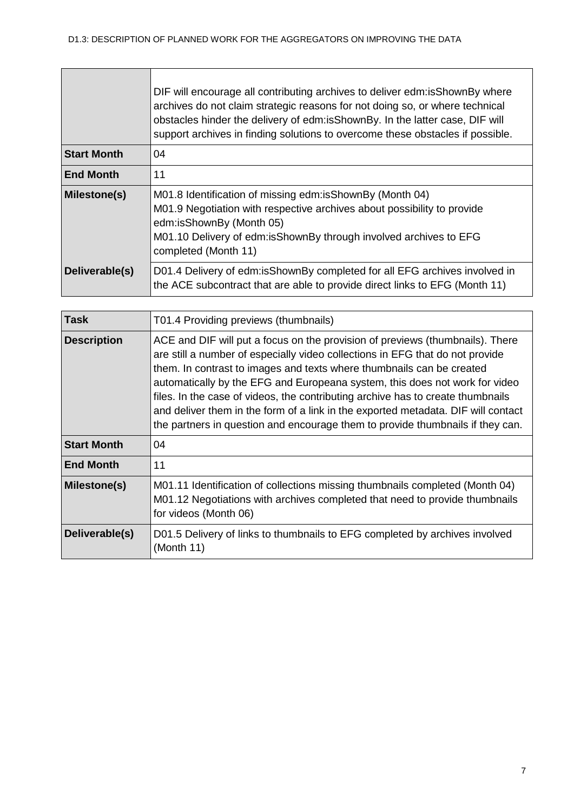|                    | DIF will encourage all contributing archives to deliver edm: is Shown By where<br>archives do not claim strategic reasons for not doing so, or where technical<br>obstacles hinder the delivery of edm:isShownBy. In the latter case, DIF will<br>support archives in finding solutions to overcome these obstacles if possible. |
|--------------------|----------------------------------------------------------------------------------------------------------------------------------------------------------------------------------------------------------------------------------------------------------------------------------------------------------------------------------|
| <b>Start Month</b> | 04                                                                                                                                                                                                                                                                                                                               |
| <b>End Month</b>   | 11                                                                                                                                                                                                                                                                                                                               |
| Milestone(s)       | M01.8 Identification of missing edm: is Shown By (Month 04)<br>M01.9 Negotiation with respective archives about possibility to provide<br>edm:isShownBy (Month 05)<br>M01.10 Delivery of edm: is Shown By through involved archives to EFG<br>completed (Month 11)                                                               |
| Deliverable(s)     | D01.4 Delivery of edm:isShownBy completed for all EFG archives involved in<br>the ACE subcontract that are able to provide direct links to EFG (Month 11)                                                                                                                                                                        |

| <b>Task</b>         | T01.4 Providing previews (thumbnails)                                                                                                                                                                                                                                                                                                                                                                                                                                                                                                                                            |
|---------------------|----------------------------------------------------------------------------------------------------------------------------------------------------------------------------------------------------------------------------------------------------------------------------------------------------------------------------------------------------------------------------------------------------------------------------------------------------------------------------------------------------------------------------------------------------------------------------------|
| <b>Description</b>  | ACE and DIF will put a focus on the provision of previews (thumbnails). There<br>are still a number of especially video collections in EFG that do not provide<br>them. In contrast to images and texts where thumbnails can be created<br>automatically by the EFG and Europeana system, this does not work for video<br>files. In the case of videos, the contributing archive has to create thumbnails<br>and deliver them in the form of a link in the exported metadata. DIF will contact<br>the partners in question and encourage them to provide thumbnails if they can. |
| <b>Start Month</b>  | 04                                                                                                                                                                                                                                                                                                                                                                                                                                                                                                                                                                               |
| <b>End Month</b>    | 11                                                                                                                                                                                                                                                                                                                                                                                                                                                                                                                                                                               |
| <b>Milestone(s)</b> | M01.11 Identification of collections missing thumbnails completed (Month 04)<br>M01.12 Negotiations with archives completed that need to provide thumbnails<br>for videos (Month 06)                                                                                                                                                                                                                                                                                                                                                                                             |
| Deliverable(s)      | D01.5 Delivery of links to thumbnails to EFG completed by archives involved<br>(Month 11)                                                                                                                                                                                                                                                                                                                                                                                                                                                                                        |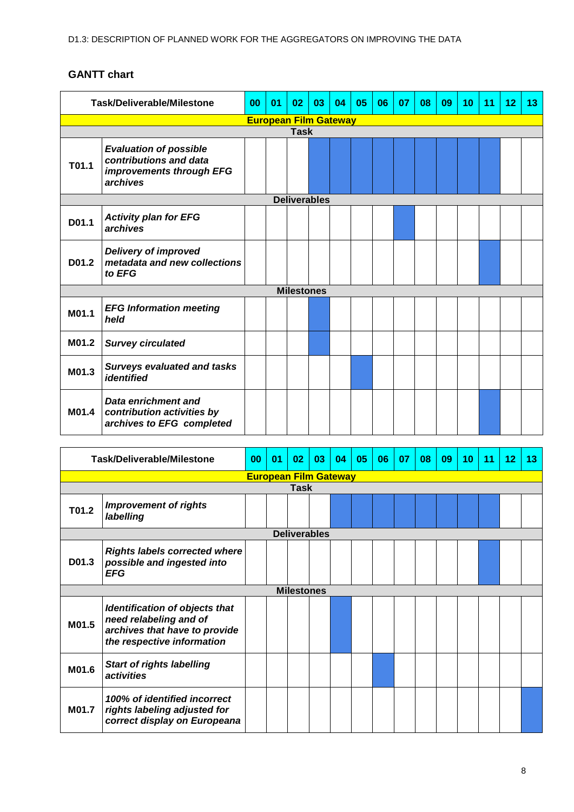<span id="page-7-0"></span>

| Task/Deliverable/Milestone |                                                                                                 | 00 | 01 | 02                | 03 | 04 | 05 | 06 | 07 | 08 | 09 | 10 | 11 | 12 | 13 |
|----------------------------|-------------------------------------------------------------------------------------------------|----|----|-------------------|----|----|----|----|----|----|----|----|----|----|----|
|                            | <b>European Film Gateway</b>                                                                    |    |    |                   |    |    |    |    |    |    |    |    |    |    |    |
| <b>Task</b>                |                                                                                                 |    |    |                   |    |    |    |    |    |    |    |    |    |    |    |
| T01.1                      | <b>Evaluation of possible</b><br>contributions and data<br>improvements through EFG<br>archives |    |    |                   |    |    |    |    |    |    |    |    |    |    |    |
|                            | <b>Deliverables</b>                                                                             |    |    |                   |    |    |    |    |    |    |    |    |    |    |    |
| D01.1                      | <b>Activity plan for EFG</b><br>archives                                                        |    |    |                   |    |    |    |    |    |    |    |    |    |    |    |
| D01.2                      | <b>Delivery of improved</b><br>metadata and new collections<br>to EFG                           |    |    |                   |    |    |    |    |    |    |    |    |    |    |    |
|                            |                                                                                                 |    |    | <b>Milestones</b> |    |    |    |    |    |    |    |    |    |    |    |
| M01.1                      | <b>EFG Information meeting</b><br>held                                                          |    |    |                   |    |    |    |    |    |    |    |    |    |    |    |
| M01.2                      | <b>Survey circulated</b>                                                                        |    |    |                   |    |    |    |    |    |    |    |    |    |    |    |
| M01.3                      | <b>Surveys evaluated and tasks</b><br><i>identified</i>                                         |    |    |                   |    |    |    |    |    |    |    |    |    |    |    |
| M01.4                      | Data enrichment and<br>contribution activities by<br>archives to EFG completed                  |    |    |                   |    |    |    |    |    |    |    |    |    |    |    |

| <b>Task/Deliverable/Milestone</b> |                                                                                                                                | 00 | 0 <sub>1</sub> | 02 <sub>2</sub>   | 03 | 04 | 05 | 06 | 07 | 08 | 09 | 10 | 11 | 12 | 13 |
|-----------------------------------|--------------------------------------------------------------------------------------------------------------------------------|----|----------------|-------------------|----|----|----|----|----|----|----|----|----|----|----|
|                                   | <b>European Film Gateway</b>                                                                                                   |    |                |                   |    |    |    |    |    |    |    |    |    |    |    |
| Task                              |                                                                                                                                |    |                |                   |    |    |    |    |    |    |    |    |    |    |    |
| T01.2                             | <b>Improvement of rights</b><br>labelling                                                                                      |    |                |                   |    |    |    |    |    |    |    |    |    |    |    |
| <b>Deliverables</b>               |                                                                                                                                |    |                |                   |    |    |    |    |    |    |    |    |    |    |    |
| D01.3                             | <b>Rights labels corrected where</b><br>possible and ingested into<br><b>EFG</b>                                               |    |                |                   |    |    |    |    |    |    |    |    |    |    |    |
|                                   |                                                                                                                                |    |                | <b>Milestones</b> |    |    |    |    |    |    |    |    |    |    |    |
| M01.5                             | <b>Identification of objects that</b><br>need relabeling and of<br>archives that have to provide<br>the respective information |    |                |                   |    |    |    |    |    |    |    |    |    |    |    |
| M01.6                             | <b>Start of rights labelling</b><br>activities                                                                                 |    |                |                   |    |    |    |    |    |    |    |    |    |    |    |
| M01.7                             | 100% of identified incorrect<br>rights labeling adjusted for<br>correct display on Europeana                                   |    |                |                   |    |    |    |    |    |    |    |    |    |    |    |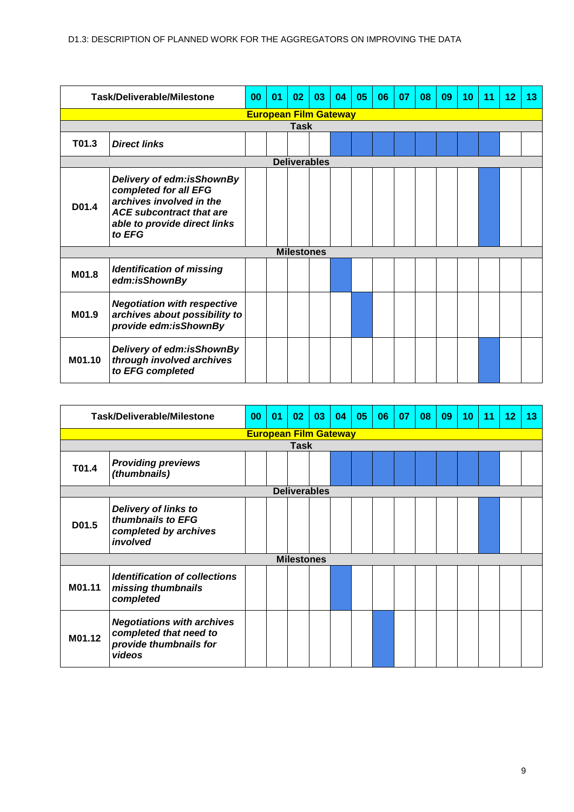| <b>Task/Deliverable/Milestone</b>                                                                                                                                    |                                                                                              | 00 | 01                           | 02                | 03                  | 04 | 05 | 06 | 07 | 08 | 09 | 10 | 11 | 12 | 13 |
|----------------------------------------------------------------------------------------------------------------------------------------------------------------------|----------------------------------------------------------------------------------------------|----|------------------------------|-------------------|---------------------|----|----|----|----|----|----|----|----|----|----|
|                                                                                                                                                                      |                                                                                              |    | <b>European Film Gateway</b> |                   |                     |    |    |    |    |    |    |    |    |    |    |
| <b>Task</b>                                                                                                                                                          |                                                                                              |    |                              |                   |                     |    |    |    |    |    |    |    |    |    |    |
| T01.3                                                                                                                                                                | <b>Direct links</b>                                                                          |    |                              |                   |                     |    |    |    |    |    |    |    |    |    |    |
|                                                                                                                                                                      |                                                                                              |    |                              |                   | <b>Deliverables</b> |    |    |    |    |    |    |    |    |    |    |
| Delivery of edm:isShownBy<br>completed for all EFG<br>archives involved in the<br>D01.4<br><b>ACE subcontract that are</b><br>able to provide direct links<br>to EFG |                                                                                              |    |                              |                   |                     |    |    |    |    |    |    |    |    |    |    |
|                                                                                                                                                                      |                                                                                              |    |                              | <b>Milestones</b> |                     |    |    |    |    |    |    |    |    |    |    |
| M01.8                                                                                                                                                                | <b>Identification of missing</b><br>edm:isShownBy                                            |    |                              |                   |                     |    |    |    |    |    |    |    |    |    |    |
| M01.9                                                                                                                                                                | <b>Negotiation with respective</b><br>archives about possibility to<br>provide edm:isShownBy |    |                              |                   |                     |    |    |    |    |    |    |    |    |    |    |
| M01.10                                                                                                                                                               | Delivery of edm:isShownBy<br>through involved archives<br>to EFG completed                   |    |                              |                   |                     |    |    |    |    |    |    |    |    |    |    |

| Task/Deliverable/Milestone                                                              |                                                                                                 | 00 | 01 | 02                           | 03 | 04 | 05 | 06 | 07 | 08 | 09 | 10 | 11 | 12 | 13 |
|-----------------------------------------------------------------------------------------|-------------------------------------------------------------------------------------------------|----|----|------------------------------|----|----|----|----|----|----|----|----|----|----|----|
|                                                                                         |                                                                                                 |    |    | <b>European Film Gateway</b> |    |    |    |    |    |    |    |    |    |    |    |
|                                                                                         |                                                                                                 |    |    | <b>Task</b>                  |    |    |    |    |    |    |    |    |    |    |    |
| T01.4                                                                                   | <b>Providing previews</b><br>(thumbnails)                                                       |    |    |                              |    |    |    |    |    |    |    |    |    |    |    |
|                                                                                         | <b>Deliverables</b>                                                                             |    |    |                              |    |    |    |    |    |    |    |    |    |    |    |
| Delivery of links to<br>thumbnails to EFG<br>D01.5<br>completed by archives<br>involved |                                                                                                 |    |    |                              |    |    |    |    |    |    |    |    |    |    |    |
|                                                                                         |                                                                                                 |    |    | <b>Milestones</b>            |    |    |    |    |    |    |    |    |    |    |    |
| M01.11                                                                                  | Identification of collections<br>missing thumbnails<br>completed                                |    |    |                              |    |    |    |    |    |    |    |    |    |    |    |
| M01.12                                                                                  | <b>Negotiations with archives</b><br>completed that need to<br>provide thumbnails for<br>videos |    |    |                              |    |    |    |    |    |    |    |    |    |    |    |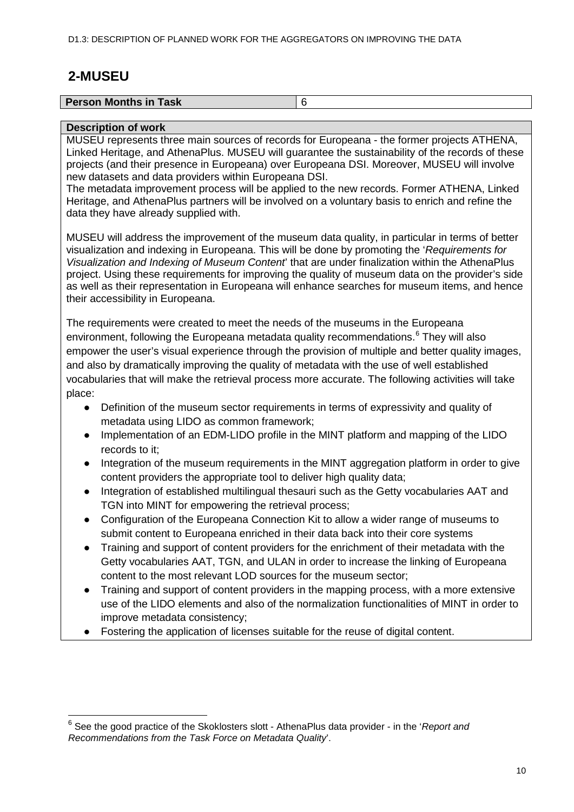## <span id="page-9-0"></span>**2-MUSEU**

| <b>Person Months in Task</b> |  |
|------------------------------|--|
|                              |  |

#### **Description of work**

MUSEU represents three main sources of records for Europeana - the former projects ATHENA, Linked Heritage, and AthenaPlus. MUSEU will guarantee the sustainability of the records of these projects (and their presence in Europeana) over Europeana DSI. Moreover, MUSEU will involve new datasets and data providers within Europeana DSI.

The metadata improvement process will be applied to the new records. Former ATHENA, Linked Heritage, and AthenaPlus partners will be involved on a voluntary basis to enrich and refine the data they have already supplied with.

MUSEU will address the improvement of the museum data quality, in particular in terms of better visualization and indexing in Europeana. This will be done by promoting the '*Requirements for Visualization and Indexing of Museum Content*' that are under finalization within the AthenaPlus project. Using these requirements for improving the quality of museum data on the provider's side as well as their representation in Europeana will enhance searches for museum items, and hence their accessibility in Europeana.

The requirements were created to meet the needs of the museums in the Europeana environment, following the Europeana metadata quality recommendations.<sup>[6](#page-9-1)</sup> They will also empower the user's visual experience through the provision of multiple and better quality images, and also by dramatically improving the quality of metadata with the use of well established vocabularies that will make the retrieval process more accurate. The following activities will take place:

- Definition of the museum sector requirements in terms of expressivity and quality of metadata using LIDO as common framework;
- Implementation of an EDM-LIDO profile in the MINT platform and mapping of the LIDO records to it;
- Integration of the museum requirements in the MINT aggregation platform in order to give content providers the appropriate tool to deliver high quality data;
- Integration of established multilingual thesauri such as the Getty vocabularies AAT and TGN into MINT for empowering the retrieval process;
- Configuration of the Europeana Connection Kit to allow a wider range of museums to submit content to Europeana enriched in their data back into their core systems
- Training and support of content providers for the enrichment of their metadata with the Getty vocabularies AAT, TGN, and ULAN in order to increase the linking of Europeana content to the most relevant LOD sources for the museum sector;
- Training and support of content providers in the mapping process, with a more extensive use of the LIDO elements and also of the normalization functionalities of MINT in order to improve metadata consistency;
- Fostering the application of licenses suitable for the reuse of digital content.

<span id="page-9-1"></span> <sup>6</sup> See the good practice of the Skoklosters slott - AthenaPlus data provider - in the '*Report and Recommendations from the Task Force on Metadata Quality*'.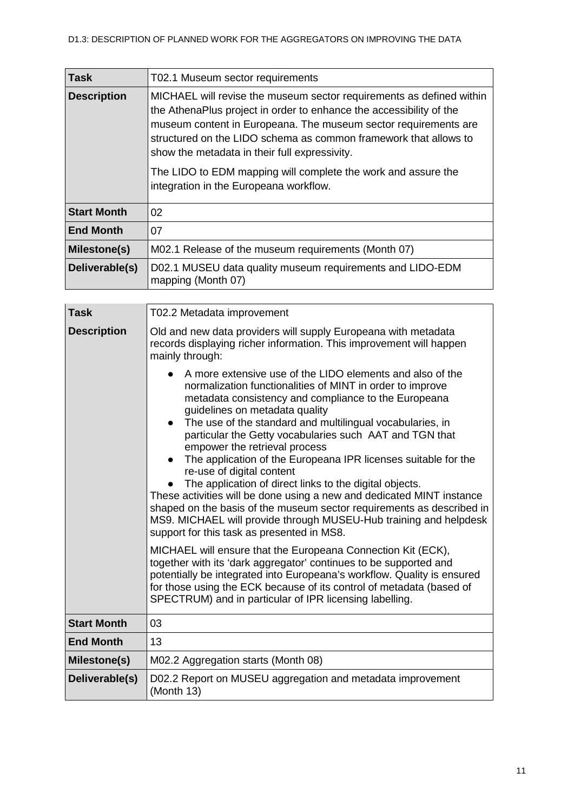| Task               | T02.1 Museum sector requirements                                                                                                                                                                                                                                                                                                                                                                                                               |
|--------------------|------------------------------------------------------------------------------------------------------------------------------------------------------------------------------------------------------------------------------------------------------------------------------------------------------------------------------------------------------------------------------------------------------------------------------------------------|
| <b>Description</b> | MICHAEL will revise the museum sector requirements as defined within<br>the AthenaPlus project in order to enhance the accessibility of the<br>museum content in Europeana. The museum sector requirements are<br>structured on the LIDO schema as common framework that allows to<br>show the metadata in their full expressivity.<br>The LIDO to EDM mapping will complete the work and assure the<br>integration in the Europeana workflow. |
| <b>Start Month</b> | 02 <sub>2</sub>                                                                                                                                                                                                                                                                                                                                                                                                                                |
| <b>End Month</b>   | 07                                                                                                                                                                                                                                                                                                                                                                                                                                             |
| Milestone(s)       | M02.1 Release of the museum requirements (Month 07)                                                                                                                                                                                                                                                                                                                                                                                            |
| Deliverable(s)     | D02.1 MUSEU data quality museum requirements and LIDO-EDM<br>mapping (Month 07)                                                                                                                                                                                                                                                                                                                                                                |

| <b>Task</b>        | T02.2 Metadata improvement                                                                                                                                                                                                                                                                                                                                                                                                                                                                                                                                                                                                                                                                                                                                                                                            |  |  |  |  |  |  |
|--------------------|-----------------------------------------------------------------------------------------------------------------------------------------------------------------------------------------------------------------------------------------------------------------------------------------------------------------------------------------------------------------------------------------------------------------------------------------------------------------------------------------------------------------------------------------------------------------------------------------------------------------------------------------------------------------------------------------------------------------------------------------------------------------------------------------------------------------------|--|--|--|--|--|--|
| <b>Description</b> | Old and new data providers will supply Europeana with metadata<br>records displaying richer information. This improvement will happen<br>mainly through:                                                                                                                                                                                                                                                                                                                                                                                                                                                                                                                                                                                                                                                              |  |  |  |  |  |  |
|                    | A more extensive use of the LIDO elements and also of the<br>normalization functionalities of MINT in order to improve<br>metadata consistency and compliance to the Europeana<br>guidelines on metadata quality<br>The use of the standard and multilingual vocabularies, in<br>$\bullet$<br>particular the Getty vocabularies such AAT and TGN that<br>empower the retrieval process<br>The application of the Europeana IPR licenses suitable for the<br>re-use of digital content<br>The application of direct links to the digital objects.<br>These activities will be done using a new and dedicated MINT instance<br>shaped on the basis of the museum sector requirements as described in<br>MS9. MICHAEL will provide through MUSEU-Hub training and helpdesk<br>support for this task as presented in MS8. |  |  |  |  |  |  |
|                    | MICHAEL will ensure that the Europeana Connection Kit (ECK),<br>together with its 'dark aggregator' continues to be supported and<br>potentially be integrated into Europeana's workflow. Quality is ensured<br>for those using the ECK because of its control of metadata (based of<br>SPECTRUM) and in particular of IPR licensing labelling.                                                                                                                                                                                                                                                                                                                                                                                                                                                                       |  |  |  |  |  |  |
| <b>Start Month</b> | 03                                                                                                                                                                                                                                                                                                                                                                                                                                                                                                                                                                                                                                                                                                                                                                                                                    |  |  |  |  |  |  |
| <b>End Month</b>   | 13                                                                                                                                                                                                                                                                                                                                                                                                                                                                                                                                                                                                                                                                                                                                                                                                                    |  |  |  |  |  |  |
| Milestone(s)       | M02.2 Aggregation starts (Month 08)                                                                                                                                                                                                                                                                                                                                                                                                                                                                                                                                                                                                                                                                                                                                                                                   |  |  |  |  |  |  |
| Deliverable(s)     | D02.2 Report on MUSEU aggregation and metadata improvement<br>(Month 13)                                                                                                                                                                                                                                                                                                                                                                                                                                                                                                                                                                                                                                                                                                                                              |  |  |  |  |  |  |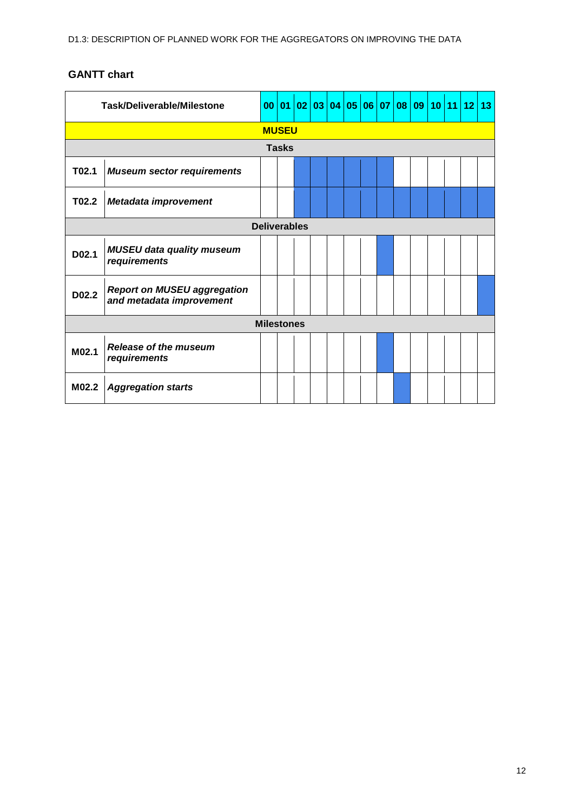<span id="page-11-0"></span>

| Task/Deliverable/Milestone |                                                                |  |  |  |  |  | 00 01 02 03 04 05 06 07 |  |  |  | $\left  08 \right  09 \left  10 \right  11 \left  12 \right  13$ |  |  |  |
|----------------------------|----------------------------------------------------------------|--|--|--|--|--|-------------------------|--|--|--|------------------------------------------------------------------|--|--|--|
|                            | <b>MUSEU</b>                                                   |  |  |  |  |  |                         |  |  |  |                                                                  |  |  |  |
|                            | <b>Tasks</b>                                                   |  |  |  |  |  |                         |  |  |  |                                                                  |  |  |  |
| T02.1                      | <b>Museum sector requirements</b>                              |  |  |  |  |  |                         |  |  |  |                                                                  |  |  |  |
| T02.2                      | <b>Metadata improvement</b>                                    |  |  |  |  |  |                         |  |  |  |                                                                  |  |  |  |
| <b>Deliverables</b>        |                                                                |  |  |  |  |  |                         |  |  |  |                                                                  |  |  |  |
| D02.1                      | <b>MUSEU data quality museum</b><br>requirements               |  |  |  |  |  |                         |  |  |  |                                                                  |  |  |  |
| D02.2                      | <b>Report on MUSEU aggregation</b><br>and metadata improvement |  |  |  |  |  |                         |  |  |  |                                                                  |  |  |  |
| <b>Milestones</b>          |                                                                |  |  |  |  |  |                         |  |  |  |                                                                  |  |  |  |
| M02.1                      | Release of the museum<br>requirements                          |  |  |  |  |  |                         |  |  |  |                                                                  |  |  |  |
| M02.2                      | <b>Aggregation starts</b>                                      |  |  |  |  |  |                         |  |  |  |                                                                  |  |  |  |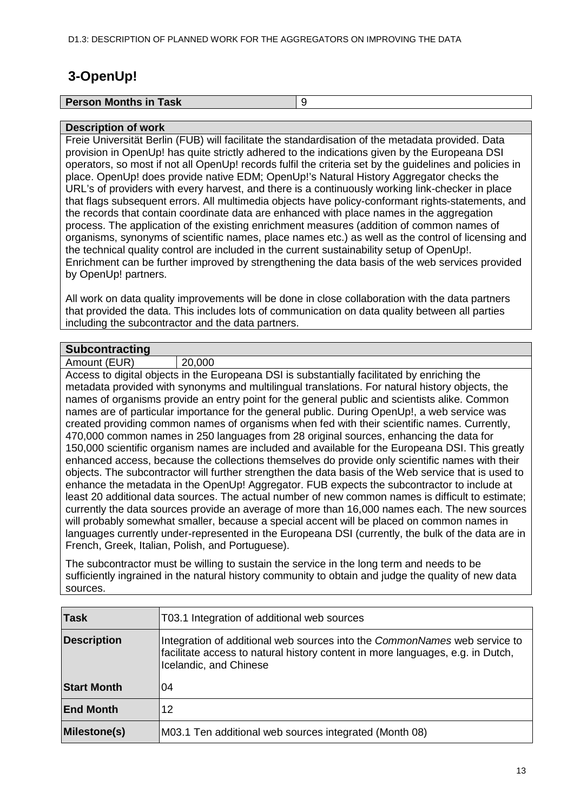# <span id="page-12-0"></span>**3-OpenUp!**

| <b>Person Months in Task</b> |  |
|------------------------------|--|
|                              |  |

#### **Description of work**

Freie Universität Berlin (FUB) will facilitate the standardisation of the metadata provided. Data provision in OpenUp! has quite strictly adhered to the indications given by the Europeana DSI operators, so most if not all OpenUp! records fulfil the criteria set by the guidelines and policies in place. OpenUp! does provide native EDM; OpenUp!'s Natural History Aggregator checks the URL's of providers with every harvest, and there is a continuously working link-checker in place that flags subsequent errors. All multimedia objects have policy-conformant rights-statements, and the records that contain coordinate data are enhanced with place names in the aggregation process. The application of the existing enrichment measures (addition of common names of organisms, synonyms of scientific names, place names etc.) as well as the control of licensing and the technical quality control are included in the current sustainability setup of OpenUp!. Enrichment can be further improved by strengthening the data basis of the web services provided by OpenUp! partners.

All work on data quality improvements will be done in close collaboration with the data partners that provided the data. This includes lots of communication on data quality between all parties including the subcontractor and the data partners.

#### **Subcontracting**

Amount (EUR) 20,000

Access to digital objects in the Europeana DSI is substantially facilitated by enriching the metadata provided with synonyms and multilingual translations. For natural history objects, the names of organisms provide an entry point for the general public and scientists alike. Common names are of particular importance for the general public. During OpenUp!, a web service was created providing common names of organisms when fed with their scientific names. Currently, 470,000 common names in 250 languages from 28 original sources, enhancing the data for 150,000 scientific organism names are included and available for the Europeana DSI. This greatly enhanced access, because the collections themselves do provide only scientific names with their objects. The subcontractor will further strengthen the data basis of the Web service that is used to enhance the metadata in the OpenUp! Aggregator. FUB expects the subcontractor to include at least 20 additional data sources. The actual number of new common names is difficult to estimate; currently the data sources provide an average of more than 16,000 names each. The new sources will probably somewhat smaller, because a special accent will be placed on common names in languages currently under-represented in the Europeana DSI (currently, the bulk of the data are in French, Greek, Italian, Polish, and Portuguese).

The subcontractor must be willing to sustain the service in the long term and needs to be sufficiently ingrained in the natural history community to obtain and judge the quality of new data sources.

| <b>Task</b>        | T03.1 Integration of additional web sources                                                                                                                                                  |
|--------------------|----------------------------------------------------------------------------------------------------------------------------------------------------------------------------------------------|
| <b>Description</b> | Integration of additional web sources into the <i>CommonNames</i> web service to<br>facilitate access to natural history content in more languages, e.g. in Dutch,<br>Icelandic, and Chinese |
| <b>Start Month</b> | 04                                                                                                                                                                                           |
| <b>End Month</b>   | 12                                                                                                                                                                                           |
| Milestone(s)       | M03.1 Ten additional web sources integrated (Month 08)                                                                                                                                       |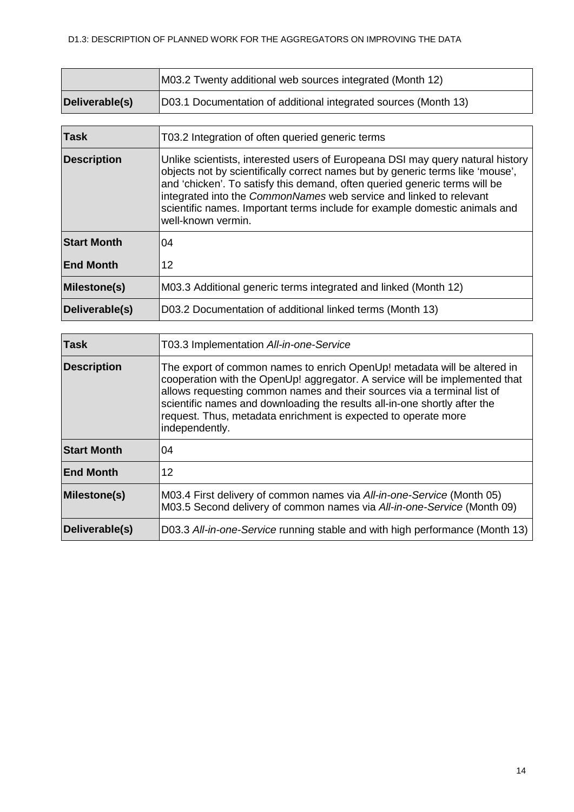|                | M03.2 Twenty additional web sources integrated (Month 12)       |  |  |  |  |  |  |
|----------------|-----------------------------------------------------------------|--|--|--|--|--|--|
| Deliverable(s) | D03.1 Documentation of additional integrated sources (Month 13) |  |  |  |  |  |  |

| <b>Task</b>        | T03.2 Integration of often queried generic terms                                                                                                                                                                                                                                                                                                                                                                         |  |  |  |
|--------------------|--------------------------------------------------------------------------------------------------------------------------------------------------------------------------------------------------------------------------------------------------------------------------------------------------------------------------------------------------------------------------------------------------------------------------|--|--|--|
| <b>Description</b> | Unlike scientists, interested users of Europeana DSI may query natural history<br>objects not by scientifically correct names but by generic terms like 'mouse',<br>and 'chicken'. To satisfy this demand, often queried generic terms will be<br>integrated into the CommonNames web service and linked to relevant<br>scientific names. Important terms include for example domestic animals and<br>well-known vermin. |  |  |  |
| <b>Start Month</b> | 04                                                                                                                                                                                                                                                                                                                                                                                                                       |  |  |  |
| <b>End Month</b>   | 12                                                                                                                                                                                                                                                                                                                                                                                                                       |  |  |  |
| Milestone(s)       | M03.3 Additional generic terms integrated and linked (Month 12)                                                                                                                                                                                                                                                                                                                                                          |  |  |  |
| Deliverable(s)     | D03.2 Documentation of additional linked terms (Month 13)                                                                                                                                                                                                                                                                                                                                                                |  |  |  |

| <b>Task</b>        | T03.3 Implementation All-in-one-Service                                                                                                                                                                                                                                                                                                                                                             |  |  |  |  |  |  |
|--------------------|-----------------------------------------------------------------------------------------------------------------------------------------------------------------------------------------------------------------------------------------------------------------------------------------------------------------------------------------------------------------------------------------------------|--|--|--|--|--|--|
| <b>Description</b> | The export of common names to enrich OpenUp! metadata will be altered in<br>cooperation with the OpenUp! aggregator. A service will be implemented that<br>allows requesting common names and their sources via a terminal list of<br>scientific names and downloading the results all-in-one shortly after the<br>request. Thus, metadata enrichment is expected to operate more<br>independently. |  |  |  |  |  |  |
| <b>Start Month</b> | 04                                                                                                                                                                                                                                                                                                                                                                                                  |  |  |  |  |  |  |
| <b>End Month</b>   | 12                                                                                                                                                                                                                                                                                                                                                                                                  |  |  |  |  |  |  |
| Milestone(s)       | M03.4 First delivery of common names via All-in-one-Service (Month 05)<br>M03.5 Second delivery of common names via All-in-one-Service (Month 09)                                                                                                                                                                                                                                                   |  |  |  |  |  |  |
| Deliverable(s)     | D03.3 All-in-one-Service running stable and with high performance (Month 13)                                                                                                                                                                                                                                                                                                                        |  |  |  |  |  |  |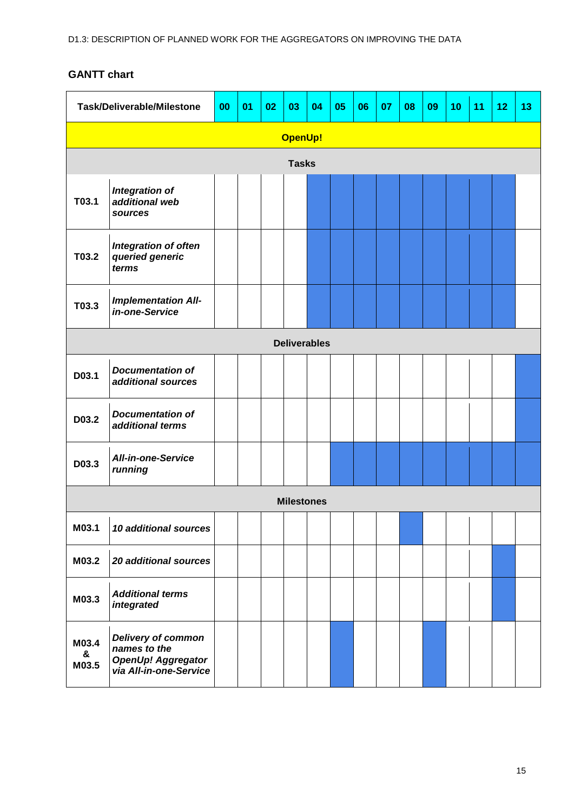<span id="page-14-0"></span>

| <b>Task/Deliverable/Milestone</b> |                                                                                            | 00 | 01 | 02 | 03                | 04 | 05 | 06 | 07 | 08 | 09 | 10 | 11 | 12 | 13 |
|-----------------------------------|--------------------------------------------------------------------------------------------|----|----|----|-------------------|----|----|----|----|----|----|----|----|----|----|
|                                   |                                                                                            |    |    |    | <b>OpenUp!</b>    |    |    |    |    |    |    |    |    |    |    |
| <b>Tasks</b>                      |                                                                                            |    |    |    |                   |    |    |    |    |    |    |    |    |    |    |
| T03.1                             | <b>Integration of</b><br>additional web<br>sources                                         |    |    |    |                   |    |    |    |    |    |    |    |    |    |    |
| T03.2                             | Integration of often<br>queried generic<br>terms                                           |    |    |    |                   |    |    |    |    |    |    |    |    |    |    |
| T03.3                             | <b>Implementation All-</b><br>in-one-Service                                               |    |    |    |                   |    |    |    |    |    |    |    |    |    |    |
| <b>Deliverables</b>               |                                                                                            |    |    |    |                   |    |    |    |    |    |    |    |    |    |    |
| D03.1                             | <b>Documentation of</b><br>additional sources                                              |    |    |    |                   |    |    |    |    |    |    |    |    |    |    |
| D03.2                             | <b>Documentation of</b><br>additional terms                                                |    |    |    |                   |    |    |    |    |    |    |    |    |    |    |
| D03.3                             | <b>All-in-one-Service</b><br>running                                                       |    |    |    |                   |    |    |    |    |    |    |    |    |    |    |
|                                   |                                                                                            |    |    |    | <b>Milestones</b> |    |    |    |    |    |    |    |    |    |    |
| M03.1                             | 10 additional sources                                                                      |    |    |    |                   |    |    |    |    |    |    |    |    |    |    |
| M03.2                             | <b>20 additional sources</b>                                                               |    |    |    |                   |    |    |    |    |    |    |    |    |    |    |
| M03.3                             | <b>Additional terms</b><br>integrated                                                      |    |    |    |                   |    |    |    |    |    |    |    |    |    |    |
| M03.4<br>&<br>M03.5               | Delivery of common<br>names to the<br><b>OpenUp! Aggregator<br/>via All-in-one-Service</b> |    |    |    |                   |    |    |    |    |    |    |    |    |    |    |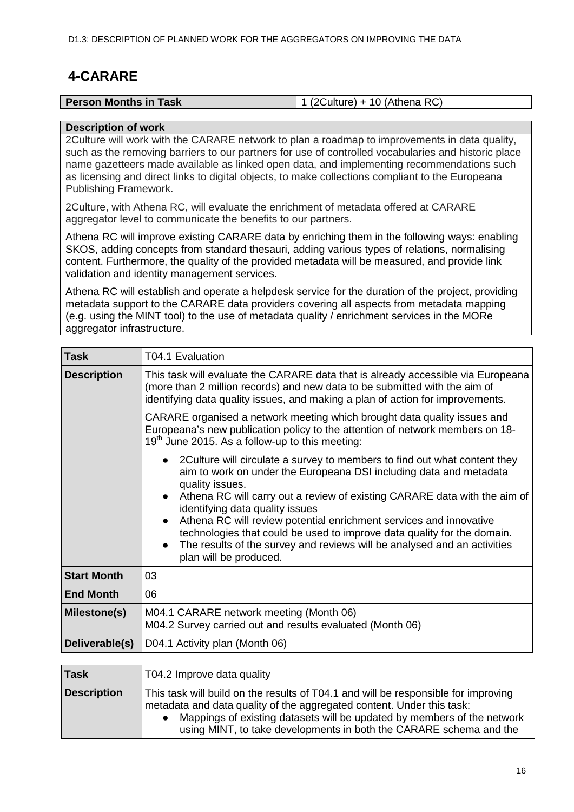# <span id="page-15-0"></span>**4-CARARE**

| <b>Person Months in Task</b> | $'$ 1 (2Culture) + 10 (Athena RC) |
|------------------------------|-----------------------------------|

#### **Description of work**

2Culture will work with the CARARE network to plan a roadmap to improvements in data quality, such as the removing barriers to our partners for use of controlled vocabularies and historic place name gazetteers made available as linked open data, and implementing recommendations such as licensing and direct links to digital objects, to make collections compliant to the Europeana Publishing Framework.

2Culture, with Athena RC, will evaluate the enrichment of metadata offered at CARARE aggregator level to communicate the benefits to our partners.

Athena RC will improve existing CARARE data by enriching them in the following ways: enabling SKOS, adding concepts from standard thesauri, adding various types of relations, normalising content. Furthermore, the quality of the provided metadata will be measured, and provide link validation and identity management services.

Athena RC will establish and operate a helpdesk service for the duration of the project, providing metadata support to the CARARE data providers covering all aspects from metadata mapping (e.g. using the MINT tool) to the use of metadata quality / enrichment services in the MORe aggregator infrastructure.

| <b>Task</b>        | T04.1 Evaluation                                                                                                                                                                                                                                                                                                                                                                                                                                                                                                                                                                 |  |  |  |  |  |  |  |  |  |
|--------------------|----------------------------------------------------------------------------------------------------------------------------------------------------------------------------------------------------------------------------------------------------------------------------------------------------------------------------------------------------------------------------------------------------------------------------------------------------------------------------------------------------------------------------------------------------------------------------------|--|--|--|--|--|--|--|--|--|
| <b>Description</b> | This task will evaluate the CARARE data that is already accessible via Europeana<br>(more than 2 million records) and new data to be submitted with the aim of<br>identifying data quality issues, and making a plan of action for improvements.                                                                                                                                                                                                                                                                                                                                 |  |  |  |  |  |  |  |  |  |
|                    | CARARE organised a network meeting which brought data quality issues and<br>Europeana's new publication policy to the attention of network members on 18-<br>$19th$ June 2015. As a follow-up to this meeting:                                                                                                                                                                                                                                                                                                                                                                   |  |  |  |  |  |  |  |  |  |
|                    | 2Culture will circulate a survey to members to find out what content they<br>aim to work on under the Europeana DSI including data and metadata<br>quality issues.<br>Athena RC will carry out a review of existing CARARE data with the aim of<br>$\bullet$<br>identifying data quality issues<br>Athena RC will review potential enrichment services and innovative<br>$\bullet$<br>technologies that could be used to improve data quality for the domain.<br>The results of the survey and reviews will be analysed and an activities<br>$\bullet$<br>plan will be produced. |  |  |  |  |  |  |  |  |  |
| <b>Start Month</b> | 03                                                                                                                                                                                                                                                                                                                                                                                                                                                                                                                                                                               |  |  |  |  |  |  |  |  |  |
| <b>End Month</b>   | 06                                                                                                                                                                                                                                                                                                                                                                                                                                                                                                                                                                               |  |  |  |  |  |  |  |  |  |
| Milestone(s)       | M04.1 CARARE network meeting (Month 06)<br>M04.2 Survey carried out and results evaluated (Month 06)                                                                                                                                                                                                                                                                                                                                                                                                                                                                             |  |  |  |  |  |  |  |  |  |
| Deliverable(s)     | D04.1 Activity plan (Month 06)                                                                                                                                                                                                                                                                                                                                                                                                                                                                                                                                                   |  |  |  |  |  |  |  |  |  |
|                    |                                                                                                                                                                                                                                                                                                                                                                                                                                                                                                                                                                                  |  |  |  |  |  |  |  |  |  |
| <b>Task</b>        | T04.2 Improve data quality                                                                                                                                                                                                                                                                                                                                                                                                                                                                                                                                                       |  |  |  |  |  |  |  |  |  |
| <b>Description</b> | This task will build on the results of T04.1 and will be responsible for improving<br>metadata and data quality of the aggregated content. Under this task:<br>Material to the control of the control of the control of the control of the control of $\ell$ the control of the control of the control of the control of the control of the control of the control of the control of the contr                                                                                                                                                                                   |  |  |  |  |  |  |  |  |  |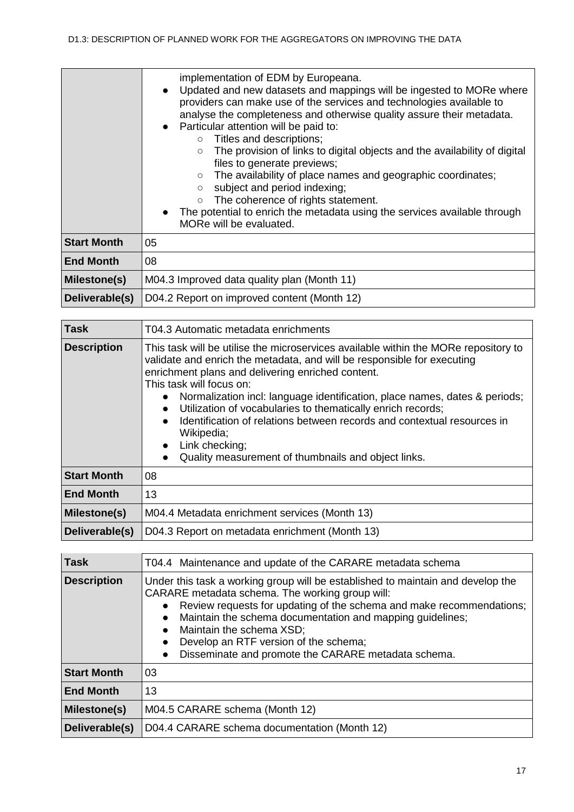|                    | implementation of EDM by Europeana.<br>Updated and new datasets and mappings will be ingested to MORe where<br>$\bullet$<br>providers can make use of the services and technologies available to<br>analyse the completeness and otherwise quality assure their metadata.<br>• Particular attention will be paid to:<br>$\circ$ Titles and descriptions;<br>The provision of links to digital objects and the availability of digital<br>$\circ$<br>files to generate previews;<br>The availability of place names and geographic coordinates;<br>$\circ$<br>subject and period indexing;<br>$\circ$<br>The coherence of rights statement.<br>$\circ$<br>The potential to enrich the metadata using the services available through<br>MORe will be evaluated. |  |  |  |  |  |  |
|--------------------|---------------------------------------------------------------------------------------------------------------------------------------------------------------------------------------------------------------------------------------------------------------------------------------------------------------------------------------------------------------------------------------------------------------------------------------------------------------------------------------------------------------------------------------------------------------------------------------------------------------------------------------------------------------------------------------------------------------------------------------------------------------|--|--|--|--|--|--|
| <b>Start Month</b> | 05                                                                                                                                                                                                                                                                                                                                                                                                                                                                                                                                                                                                                                                                                                                                                            |  |  |  |  |  |  |
| <b>End Month</b>   | 08                                                                                                                                                                                                                                                                                                                                                                                                                                                                                                                                                                                                                                                                                                                                                            |  |  |  |  |  |  |
| Milestone(s)       | M04.3 Improved data quality plan (Month 11)                                                                                                                                                                                                                                                                                                                                                                                                                                                                                                                                                                                                                                                                                                                   |  |  |  |  |  |  |
| Deliverable(s)     | D04.2 Report on improved content (Month 12)                                                                                                                                                                                                                                                                                                                                                                                                                                                                                                                                                                                                                                                                                                                   |  |  |  |  |  |  |

| <b>Task</b>        | T04.3 Automatic metadata enrichments                                                                                                                                                                                                                                                                                                                                                                                                                                                                                                                                                                                            |  |  |  |  |  |  |  |
|--------------------|---------------------------------------------------------------------------------------------------------------------------------------------------------------------------------------------------------------------------------------------------------------------------------------------------------------------------------------------------------------------------------------------------------------------------------------------------------------------------------------------------------------------------------------------------------------------------------------------------------------------------------|--|--|--|--|--|--|--|
| <b>Description</b> | This task will be utilise the microservices available within the MORe repository to<br>validate and enrich the metadata, and will be responsible for executing<br>enrichment plans and delivering enriched content.<br>This task will focus on:<br>Normalization incl: language identification, place names, dates & periods;<br>$\bullet$<br>Utilization of vocabularies to thematically enrich records;<br>$\bullet$<br>Identification of relations between records and contextual resources in<br>$\bullet$<br>Wikipedia;<br>Link checking;<br>$\bullet$<br>Quality measurement of thumbnails and object links.<br>$\bullet$ |  |  |  |  |  |  |  |
| <b>Start Month</b> | 08                                                                                                                                                                                                                                                                                                                                                                                                                                                                                                                                                                                                                              |  |  |  |  |  |  |  |
| <b>End Month</b>   | 13                                                                                                                                                                                                                                                                                                                                                                                                                                                                                                                                                                                                                              |  |  |  |  |  |  |  |
| Milestone(s)       | M04.4 Metadata enrichment services (Month 13)                                                                                                                                                                                                                                                                                                                                                                                                                                                                                                                                                                                   |  |  |  |  |  |  |  |
| Deliverable(s)     | D04.3 Report on metadata enrichment (Month 13)                                                                                                                                                                                                                                                                                                                                                                                                                                                                                                                                                                                  |  |  |  |  |  |  |  |

| <b>Task</b>        | T04.4 Maintenance and update of the CARARE metadata schema                                                                                                                                                                                                                                                                                                                                                                                              |  |  |  |  |  |  |
|--------------------|---------------------------------------------------------------------------------------------------------------------------------------------------------------------------------------------------------------------------------------------------------------------------------------------------------------------------------------------------------------------------------------------------------------------------------------------------------|--|--|--|--|--|--|
| <b>Description</b> | Under this task a working group will be established to maintain and develop the<br>CARARE metadata schema. The working group will:<br>Review requests for updating of the schema and make recommendations;<br>Maintain the schema documentation and mapping guidelines;<br>$\bullet$<br>Maintain the schema XSD;<br>$\bullet$<br>Develop an RTF version of the schema;<br>$\bullet$<br>Disseminate and promote the CARARE metadata schema.<br>$\bullet$ |  |  |  |  |  |  |
| <b>Start Month</b> | 03                                                                                                                                                                                                                                                                                                                                                                                                                                                      |  |  |  |  |  |  |
| <b>End Month</b>   | 13                                                                                                                                                                                                                                                                                                                                                                                                                                                      |  |  |  |  |  |  |
| Milestone(s)       | M04.5 CARARE schema (Month 12)                                                                                                                                                                                                                                                                                                                                                                                                                          |  |  |  |  |  |  |
| Deliverable(s)     | D04.4 CARARE schema documentation (Month 12)                                                                                                                                                                                                                                                                                                                                                                                                            |  |  |  |  |  |  |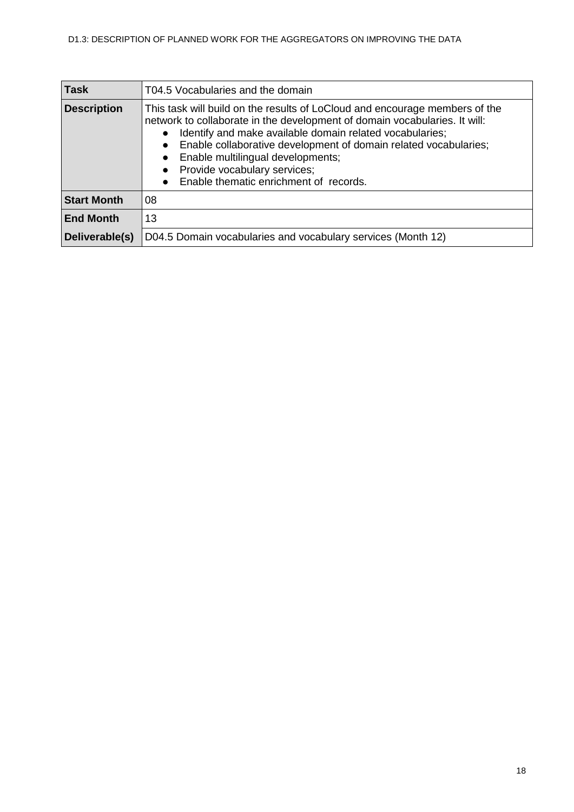| <b>Task</b>        | T04.5 Vocabularies and the domain                                                                                                                                                                                                                                                                                                                                                                                                                                         |
|--------------------|---------------------------------------------------------------------------------------------------------------------------------------------------------------------------------------------------------------------------------------------------------------------------------------------------------------------------------------------------------------------------------------------------------------------------------------------------------------------------|
| <b>Description</b> | This task will build on the results of LoCloud and encourage members of the<br>network to collaborate in the development of domain vocabularies. It will:<br>Identify and make available domain related vocabularies;<br>$\bullet$<br>Enable collaborative development of domain related vocabularies;<br>$\bullet$<br>Enable multilingual developments;<br>$\bullet$<br>Provide vocabulary services;<br>$\bullet$<br>Enable thematic enrichment of records.<br>$\bullet$ |
| <b>Start Month</b> | 08                                                                                                                                                                                                                                                                                                                                                                                                                                                                        |
| <b>End Month</b>   | 13                                                                                                                                                                                                                                                                                                                                                                                                                                                                        |
| Deliverable(s)     | D04.5 Domain vocabularies and vocabulary services (Month 12)                                                                                                                                                                                                                                                                                                                                                                                                              |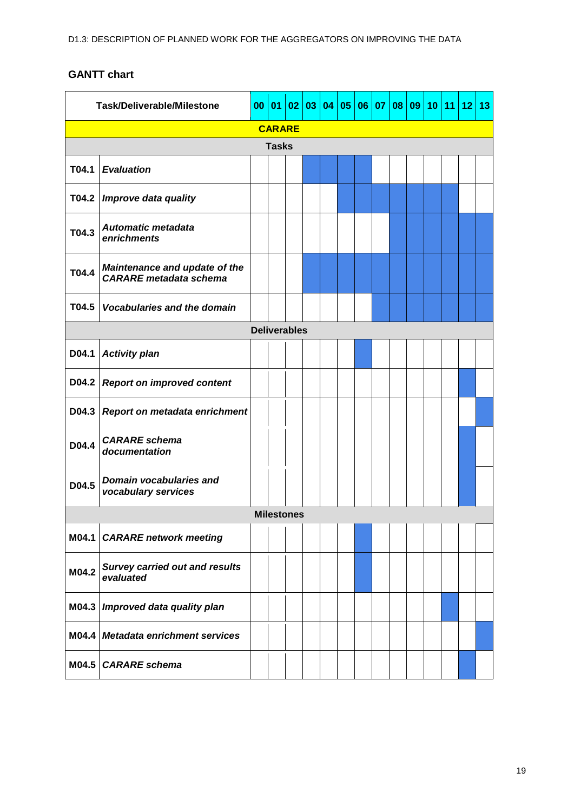<span id="page-18-1"></span><span id="page-18-0"></span>

| <b>Task/Deliverable/Milestone</b> |                                                                | 00                  | 01           | 02                | 03 | 04 | 05 | 06 | 07 | 08 | 09 | 10 11 | 12 | 13 |
|-----------------------------------|----------------------------------------------------------------|---------------------|--------------|-------------------|----|----|----|----|----|----|----|-------|----|----|
| <b>CARARE</b>                     |                                                                |                     |              |                   |    |    |    |    |    |    |    |       |    |    |
|                                   |                                                                |                     | <b>Tasks</b> |                   |    |    |    |    |    |    |    |       |    |    |
| T04.1                             | <b>Evaluation</b>                                              |                     |              |                   |    |    |    |    |    |    |    |       |    |    |
| T04.2                             | Improve data quality                                           |                     |              |                   |    |    |    |    |    |    |    |       |    |    |
| T04.3                             | <b>Automatic metadata</b><br>enrichments                       |                     |              |                   |    |    |    |    |    |    |    |       |    |    |
| T04.4                             | Maintenance and update of the<br><b>CARARE</b> metadata schema |                     |              |                   |    |    |    |    |    |    |    |       |    |    |
| T04.5                             | <b>Vocabularies and the domain</b>                             |                     |              |                   |    |    |    |    |    |    |    |       |    |    |
|                                   |                                                                | <b>Deliverables</b> |              |                   |    |    |    |    |    |    |    |       |    |    |
| D04.1                             | <b>Activity plan</b>                                           |                     |              |                   |    |    |    |    |    |    |    |       |    |    |
| D04.2                             | <b>Report on improved content</b>                              |                     |              |                   |    |    |    |    |    |    |    |       |    |    |
| D04.3                             | Report on metadata enrichment                                  |                     |              |                   |    |    |    |    |    |    |    |       |    |    |
| D04.4                             | <b>CARARE</b> schema<br>documentation                          |                     |              |                   |    |    |    |    |    |    |    |       |    |    |
| D04.5                             | Domain vocabularies and<br>vocabulary services                 |                     |              |                   |    |    |    |    |    |    |    |       |    |    |
|                                   |                                                                |                     |              | <b>Milestones</b> |    |    |    |    |    |    |    |       |    |    |
|                                   | M04.1   CARARE network meeting                                 |                     |              |                   |    |    |    |    |    |    |    |       |    |    |
| M04.2                             | <b>Survey carried out and results</b><br>evaluated             |                     |              |                   |    |    |    |    |    |    |    |       |    |    |
| M04.3                             | Improved data quality plan                                     |                     |              |                   |    |    |    |    |    |    |    |       |    |    |
|                                   | M04.4 Metadata enrichment services                             |                     |              |                   |    |    |    |    |    |    |    |       |    |    |
|                                   | M04.5 CARARE schema                                            |                     |              |                   |    |    |    |    |    |    |    |       |    |    |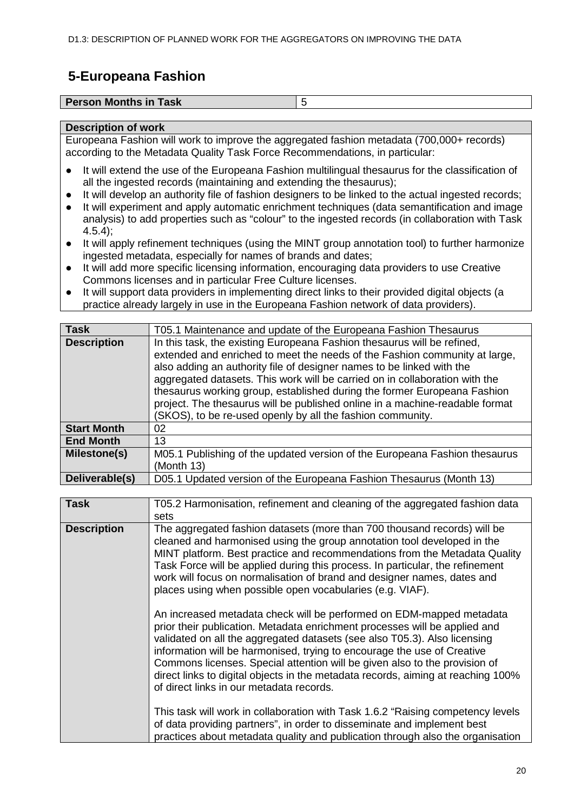## **5-Europeana Fashion**

| <b>Person Months in Task</b> |  |
|------------------------------|--|
|                              |  |

#### **Description of work**

Europeana Fashion will work to improve the aggregated fashion metadata (700,000+ records) according to the Metadata Quality Task Force Recommendations, in particular:

- It will extend the use of the Europeana Fashion multilingual thesaurus for the classification of all the ingested records (maintaining and extending the thesaurus);
- It will develop an authority file of fashion designers to be linked to the actual ingested records:
- It will experiment and apply automatic enrichment techniques (data semantification and image analysis) to add properties such as "colour" to the ingested records (in collaboration with Task 4.5.4);
- It will apply refinement techniques (using the MINT group annotation tool) to further harmonize ingested metadata, especially for names of brands and dates;
- It will add more specific licensing information, encouraging data providers to use Creative Commons licenses and in particular Free Culture licenses.
- It will support data providers in implementing direct links to their provided digital objects (a practice already largely in use in the Europeana Fashion network of data providers).

| <b>Task</b>        | T05.1 Maintenance and update of the Europeana Fashion Thesaurus              |
|--------------------|------------------------------------------------------------------------------|
| <b>Description</b> | In this task, the existing Europeana Fashion thesaurus will be refined,      |
|                    | extended and enriched to meet the needs of the Fashion community at large,   |
|                    | also adding an authority file of designer names to be linked with the        |
|                    | aggregated datasets. This work will be carried on in collaboration with the  |
|                    | thesaurus working group, established during the former Europeana Fashion     |
|                    | project. The thesaurus will be published online in a machine-readable format |
|                    | (SKOS), to be re-used openly by all the fashion community.                   |
| <b>Start Month</b> | 02                                                                           |
| <b>End Month</b>   | 13                                                                           |
| Milestone(s)       | M05.1 Publishing of the updated version of the Europeana Fashion thesaurus   |
|                    | (Month 13)                                                                   |
| Deliverable(s)     | D05.1 Updated version of the Europeana Fashion Thesaurus (Month 13)          |

| <b>Task</b>        | T05.2 Harmonisation, refinement and cleaning of the aggregated fashion data<br>sets                                                                                                                                                                                                                                                                                                                                                                                                                                      |
|--------------------|--------------------------------------------------------------------------------------------------------------------------------------------------------------------------------------------------------------------------------------------------------------------------------------------------------------------------------------------------------------------------------------------------------------------------------------------------------------------------------------------------------------------------|
| <b>Description</b> | The aggregated fashion datasets (more than 700 thousand records) will be<br>cleaned and harmonised using the group annotation tool developed in the<br>MINT platform. Best practice and recommendations from the Metadata Quality<br>Task Force will be applied during this process. In particular, the refinement<br>work will focus on normalisation of brand and designer names, dates and<br>places using when possible open vocabularies (e.g. VIAF).                                                               |
|                    | An increased metadata check will be performed on EDM-mapped metadata<br>prior their publication. Metadata enrichment processes will be applied and<br>validated on all the aggregated datasets (see also T05.3). Also licensing<br>information will be harmonised, trying to encourage the use of Creative<br>Commons licenses. Special attention will be given also to the provision of<br>direct links to digital objects in the metadata records, aiming at reaching 100%<br>of direct links in our metadata records. |
|                    | This task will work in collaboration with Task 1.6.2 "Raising competency levels<br>of data providing partners", in order to disseminate and implement best<br>practices about metadata quality and publication through also the organisation                                                                                                                                                                                                                                                                             |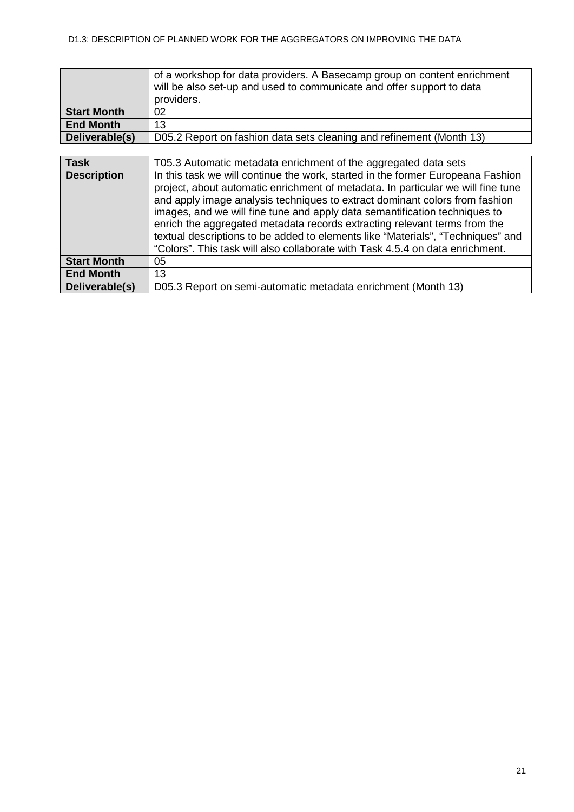| <b>Start Month</b><br><b>End Month</b> | of a workshop for data providers. A Basecamp group on content enrichment<br>will be also set-up and used to communicate and offer support to data<br>providers.<br>02<br>13                                                                                                                                                                                                                                                                                                                                                                                                       |
|----------------------------------------|-----------------------------------------------------------------------------------------------------------------------------------------------------------------------------------------------------------------------------------------------------------------------------------------------------------------------------------------------------------------------------------------------------------------------------------------------------------------------------------------------------------------------------------------------------------------------------------|
| Deliverable(s)                         | D05.2 Report on fashion data sets cleaning and refinement (Month 13)                                                                                                                                                                                                                                                                                                                                                                                                                                                                                                              |
|                                        |                                                                                                                                                                                                                                                                                                                                                                                                                                                                                                                                                                                   |
| <b>Task</b>                            | T05.3 Automatic metadata enrichment of the aggregated data sets                                                                                                                                                                                                                                                                                                                                                                                                                                                                                                                   |
| <b>Description</b>                     | In this task we will continue the work, started in the former Europeana Fashion<br>project, about automatic enrichment of metadata. In particular we will fine tune<br>and apply image analysis techniques to extract dominant colors from fashion<br>images, and we will fine tune and apply data semantification techniques to<br>enrich the aggregated metadata records extracting relevant terms from the<br>textual descriptions to be added to elements like "Materials", "Techniques" and<br>"Colors". This task will also collaborate with Task 4.5.4 on data enrichment. |
| <b>Start Month</b>                     | 05                                                                                                                                                                                                                                                                                                                                                                                                                                                                                                                                                                                |
| <b>End Month</b>                       | 13                                                                                                                                                                                                                                                                                                                                                                                                                                                                                                                                                                                |
| Deliverable(s)                         | D05.3 Report on semi-automatic metadata enrichment (Month 13)                                                                                                                                                                                                                                                                                                                                                                                                                                                                                                                     |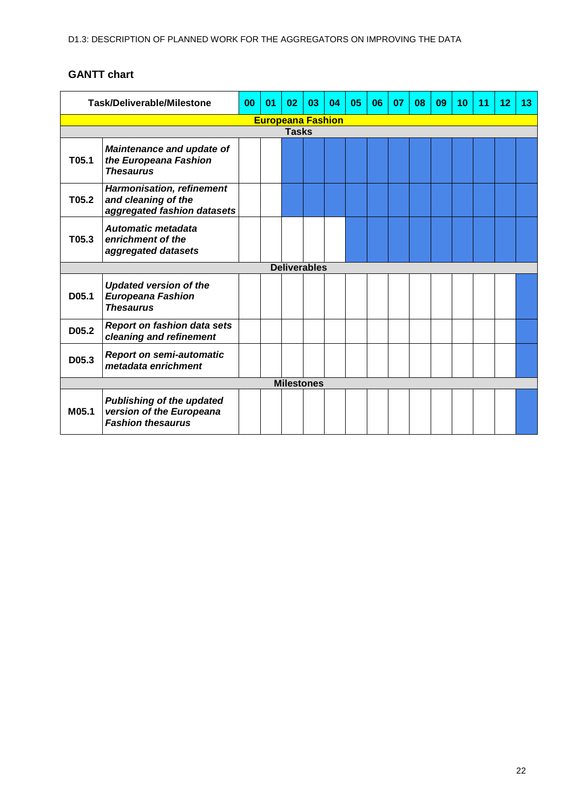<span id="page-21-0"></span>

|                                                                                | <b>Task/Deliverable/Milestone</b>                                                        | 00 | 0 <sub>1</sub> | 02           | 03                  | 04 | 05 | 06 | 07 | 08 | 09 | 10 | 11 | 12 | 13 |
|--------------------------------------------------------------------------------|------------------------------------------------------------------------------------------|----|----------------|--------------|---------------------|----|----|----|----|----|----|----|----|----|----|
|                                                                                | <b>Europeana Fashion</b>                                                                 |    |                |              |                     |    |    |    |    |    |    |    |    |    |    |
|                                                                                |                                                                                          |    |                | <b>Tasks</b> |                     |    |    |    |    |    |    |    |    |    |    |
| T05.1                                                                          | <b>Maintenance and update of</b><br>the Europeana Fashion<br><b>Thesaurus</b>            |    |                |              |                     |    |    |    |    |    |    |    |    |    |    |
| T05.2                                                                          | <b>Harmonisation, refinement</b><br>and cleaning of the<br>aggregated fashion datasets   |    |                |              |                     |    |    |    |    |    |    |    |    |    |    |
| <b>Automatic metadata</b><br>T05.3<br>enrichment of the<br>aggregated datasets |                                                                                          |    |                |              |                     |    |    |    |    |    |    |    |    |    |    |
|                                                                                |                                                                                          |    |                |              | <b>Deliverables</b> |    |    |    |    |    |    |    |    |    |    |
| D05.1                                                                          | <b>Updated version of the</b><br><b>Europeana Fashion</b><br><b>Thesaurus</b>            |    |                |              |                     |    |    |    |    |    |    |    |    |    |    |
| D05.2                                                                          | <b>Report on fashion data sets</b><br>cleaning and refinement                            |    |                |              |                     |    |    |    |    |    |    |    |    |    |    |
| D05.3                                                                          | <b>Report on semi-automatic</b><br>metadata enrichment                                   |    |                |              |                     |    |    |    |    |    |    |    |    |    |    |
|                                                                                | <b>Milestones</b>                                                                        |    |                |              |                     |    |    |    |    |    |    |    |    |    |    |
| M05.1                                                                          | <b>Publishing of the updated</b><br>version of the Europeana<br><b>Fashion thesaurus</b> |    |                |              |                     |    |    |    |    |    |    |    |    |    |    |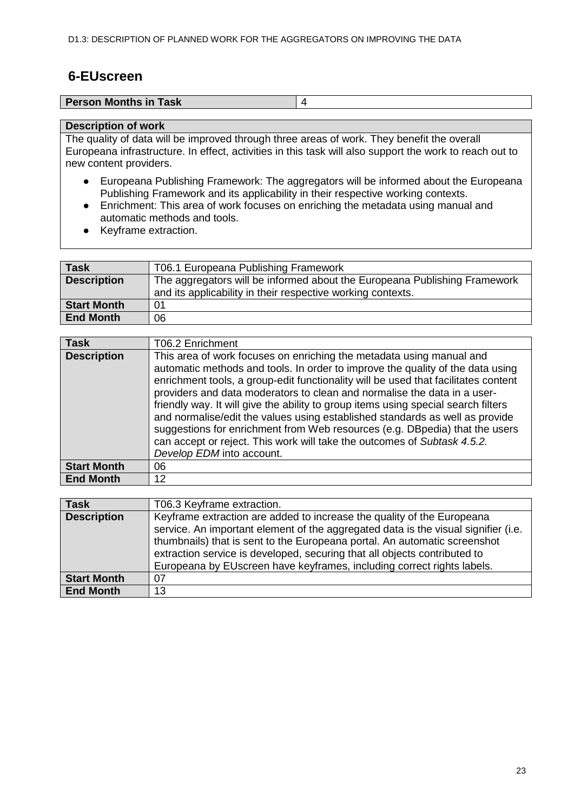## <span id="page-22-0"></span>**6-EUscreen**

| <b>Person Months in Task</b> |  |
|------------------------------|--|
|                              |  |

#### **Description of work**

The quality of data will be improved through three areas of work. They benefit the overall Europeana infrastructure. In effect, activities in this task will also support the work to reach out to new content providers.

- Europeana Publishing Framework: The aggregators will be informed about the Europeana Publishing Framework and its applicability in their respective working contexts.
- Enrichment: This area of work focuses on enriching the metadata using manual and automatic methods and tools.
- Keyframe extraction.

| <b>Task</b>        | T06.1 Europeana Publishing Framework                                                                                                     |
|--------------------|------------------------------------------------------------------------------------------------------------------------------------------|
| <b>Description</b> | The aggregators will be informed about the Europeana Publishing Framework<br>and its applicability in their respective working contexts. |
| <b>Start Month</b> | 01                                                                                                                                       |
| <b>End Month</b>   | 06                                                                                                                                       |

| <b>Task</b>        | T06.2 Enrichment                                                                                                                                                                                                                                                                                                                                                                                                                                                                                                                                                                                                                                                                       |
|--------------------|----------------------------------------------------------------------------------------------------------------------------------------------------------------------------------------------------------------------------------------------------------------------------------------------------------------------------------------------------------------------------------------------------------------------------------------------------------------------------------------------------------------------------------------------------------------------------------------------------------------------------------------------------------------------------------------|
| <b>Description</b> | This area of work focuses on enriching the metadata using manual and<br>automatic methods and tools. In order to improve the quality of the data using<br>enrichment tools, a group-edit functionality will be used that facilitates content<br>providers and data moderators to clean and normalise the data in a user-<br>friendly way. It will give the ability to group items using special search filters<br>and normalise/edit the values using established standards as well as provide<br>suggestions for enrichment from Web resources (e.g. DBpedia) that the users<br>can accept or reject. This work will take the outcomes of Subtask 4.5.2.<br>Develop EDM into account. |
| <b>Start Month</b> | 06                                                                                                                                                                                                                                                                                                                                                                                                                                                                                                                                                                                                                                                                                     |
| <b>End Month</b>   | $12 \overline{ }$                                                                                                                                                                                                                                                                                                                                                                                                                                                                                                                                                                                                                                                                      |

| <b>Task</b>        | T06.3 Keyframe extraction.                                                                                                                                                                                                                                                                                                                                                                       |
|--------------------|--------------------------------------------------------------------------------------------------------------------------------------------------------------------------------------------------------------------------------------------------------------------------------------------------------------------------------------------------------------------------------------------------|
| <b>Description</b> | Keyframe extraction are added to increase the quality of the Europeana<br>service. An important element of the aggregated data is the visual signifier (i.e.<br>thumbnails) that is sent to the Europeana portal. An automatic screenshot<br>extraction service is developed, securing that all objects contributed to<br>Europeana by EUscreen have keyframes, including correct rights labels. |
| <b>Start Month</b> | 07                                                                                                                                                                                                                                                                                                                                                                                               |
| <b>End Month</b>   | 13                                                                                                                                                                                                                                                                                                                                                                                               |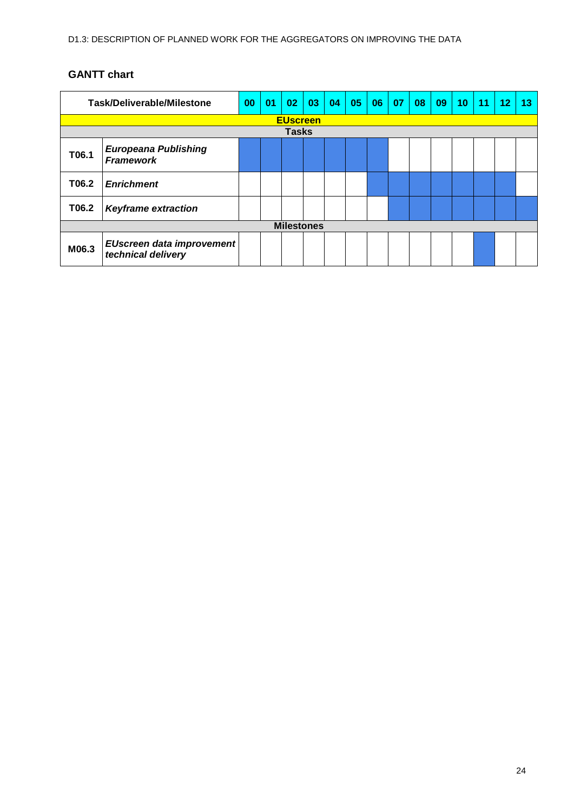<span id="page-23-0"></span>

| <b>Task/Deliverable/Milestone</b> |                                                        | 00 | 01 | 02                | 03 | 04 | 05 | 06 | 07 | 08 | 09 | 10 | 11 | 12 | 13 |
|-----------------------------------|--------------------------------------------------------|----|----|-------------------|----|----|----|----|----|----|----|----|----|----|----|
| <b>EUscreen</b>                   |                                                        |    |    |                   |    |    |    |    |    |    |    |    |    |    |    |
|                                   |                                                        |    |    | <b>Tasks</b>      |    |    |    |    |    |    |    |    |    |    |    |
| T06.1                             | <b>Europeana Publishing</b><br><b>Framework</b>        |    |    |                   |    |    |    |    |    |    |    |    |    |    |    |
| T06.2                             | <b>Enrichment</b>                                      |    |    |                   |    |    |    |    |    |    |    |    |    |    |    |
| T06.2                             | <b>Keyframe extraction</b>                             |    |    |                   |    |    |    |    |    |    |    |    |    |    |    |
|                                   |                                                        |    |    | <b>Milestones</b> |    |    |    |    |    |    |    |    |    |    |    |
| M06.3                             | <b>EUscreen data improvement</b><br>technical delivery |    |    |                   |    |    |    |    |    |    |    |    |    |    |    |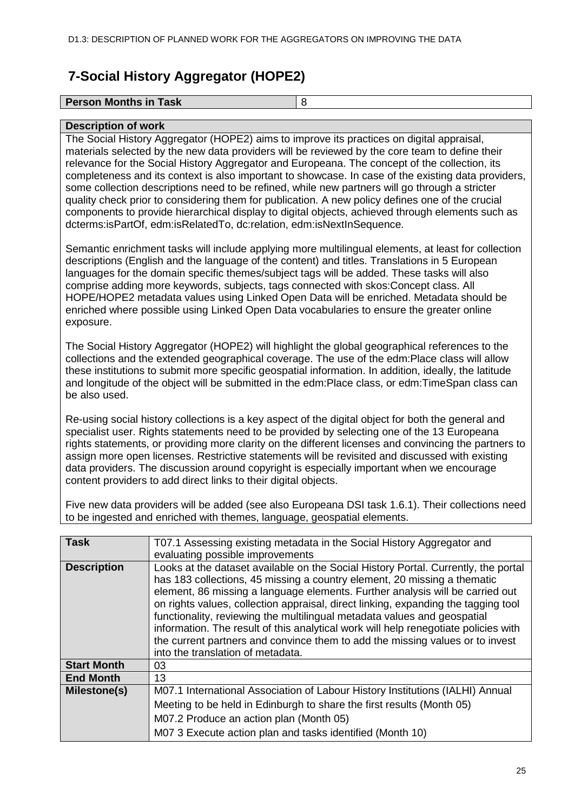# <span id="page-24-0"></span>**7-Social History Aggregator (HOPE2)**

| <b>Person Months in Task</b> |  |
|------------------------------|--|
|                              |  |

#### **Description of work**

The Social History Aggregator (HOPE2) aims to improve its practices on digital appraisal, materials selected by the new data providers will be reviewed by the core team to define their relevance for the Social History Aggregator and Europeana. The concept of the collection, its completeness and its context is also important to showcase. In case of the existing data providers, some collection descriptions need to be refined, while new partners will go through a stricter quality check prior to considering them for publication. A new policy defines one of the crucial components to provide hierarchical display to digital objects, achieved through elements such as dcterms:isPartOf, edm:isRelatedTo, dc:relation, edm:isNextInSequence.

Semantic enrichment tasks will include applying more multilingual elements, at least for collection descriptions (English and the language of the content) and titles. Translations in 5 European languages for the domain specific themes/subject tags will be added. These tasks will also comprise adding more keywords, subjects, tags connected with skos:Concept class. All HOPE/HOPE2 metadata values using Linked Open Data will be enriched. Metadata should be enriched where possible using Linked Open Data vocabularies to ensure the greater online exposure.

The Social History Aggregator (HOPE2) will highlight the global geographical references to the collections and the extended geographical coverage. The use of the edm:Place class will allow these institutions to submit more specific geospatial information. In addition, ideally, the latitude and longitude of the object will be submitted in the edm:Place class, or edm:TimeSpan class can be also used.

Re-using social history collections is a key aspect of the digital object for both the general and specialist user. Rights statements need to be provided by selecting one of the 13 Europeana rights statements, or providing more clarity on the different licenses and convincing the partners to assign more open licenses. Restrictive statements will be revisited and discussed with existing data providers. The discussion around copyright is especially important when we encourage content providers to add direct links to their digital objects.

Five new data providers will be added (see also Europeana DSI task 1.6.1). Their collections need to be ingested and enriched with themes, language, geospatial elements.

| <b>Task</b>        | T07.1 Assessing existing metadata in the Social History Aggregator and                                                                                                                                                                                                                                                                                                                                                                                                                                                                                                                                                         |
|--------------------|--------------------------------------------------------------------------------------------------------------------------------------------------------------------------------------------------------------------------------------------------------------------------------------------------------------------------------------------------------------------------------------------------------------------------------------------------------------------------------------------------------------------------------------------------------------------------------------------------------------------------------|
|                    | evaluating possible improvements                                                                                                                                                                                                                                                                                                                                                                                                                                                                                                                                                                                               |
| <b>Description</b> | Looks at the dataset available on the Social History Portal. Currently, the portal<br>has 183 collections, 45 missing a country element, 20 missing a thematic<br>element, 86 missing a language elements. Further analysis will be carried out<br>on rights values, collection appraisal, direct linking, expanding the tagging tool<br>functionality, reviewing the multilingual metadata values and geospatial<br>information. The result of this analytical work will help renegotiate policies with<br>the current partners and convince them to add the missing values or to invest<br>into the translation of metadata. |
| <b>Start Month</b> | 03                                                                                                                                                                                                                                                                                                                                                                                                                                                                                                                                                                                                                             |
| <b>End Month</b>   | 13                                                                                                                                                                                                                                                                                                                                                                                                                                                                                                                                                                                                                             |
| Milestone(s)       | M07.1 International Association of Labour History Institutions (IALHI) Annual                                                                                                                                                                                                                                                                                                                                                                                                                                                                                                                                                  |
|                    | Meeting to be held in Edinburgh to share the first results (Month 05)                                                                                                                                                                                                                                                                                                                                                                                                                                                                                                                                                          |
|                    | M07.2 Produce an action plan (Month 05)                                                                                                                                                                                                                                                                                                                                                                                                                                                                                                                                                                                        |
|                    | M07 3 Execute action plan and tasks identified (Month 10)                                                                                                                                                                                                                                                                                                                                                                                                                                                                                                                                                                      |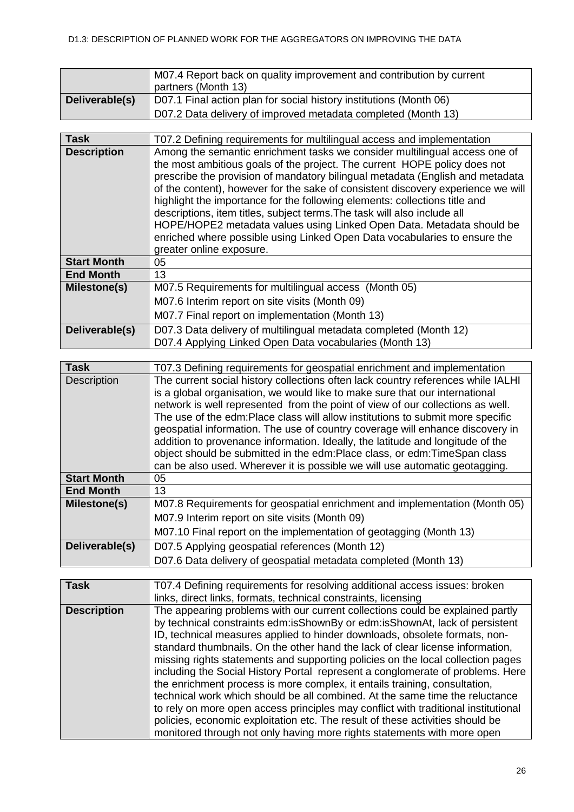|                | M07.4 Report back on quality improvement and contribution by current<br>partners (Month 13) |
|----------------|---------------------------------------------------------------------------------------------|
| Deliverable(s) | D07.1 Final action plan for social history institutions (Month 06)                          |
|                | D07.2 Data delivery of improved metadata completed (Month 13)                               |

| Task               | T07.2 Defining requirements for multilingual access and implementation                                                                                                                                                                                                                                                                                                                                                                                                                                                                                                                                                                                                   |
|--------------------|--------------------------------------------------------------------------------------------------------------------------------------------------------------------------------------------------------------------------------------------------------------------------------------------------------------------------------------------------------------------------------------------------------------------------------------------------------------------------------------------------------------------------------------------------------------------------------------------------------------------------------------------------------------------------|
| <b>Description</b> | Among the semantic enrichment tasks we consider multilingual access one of<br>the most ambitious goals of the project. The current HOPE policy does not<br>prescribe the provision of mandatory bilingual metadata (English and metadata<br>of the content), however for the sake of consistent discovery experience we will<br>highlight the importance for the following elements: collections title and<br>descriptions, item titles, subject terms. The task will also include all<br>HOPE/HOPE2 metadata values using Linked Open Data. Metadata should be<br>enriched where possible using Linked Open Data vocabularies to ensure the<br>greater online exposure. |
| <b>Start Month</b> | 05                                                                                                                                                                                                                                                                                                                                                                                                                                                                                                                                                                                                                                                                       |
| <b>End Month</b>   | 13                                                                                                                                                                                                                                                                                                                                                                                                                                                                                                                                                                                                                                                                       |
| Milestone(s)       | M07.5 Requirements for multilingual access (Month 05)                                                                                                                                                                                                                                                                                                                                                                                                                                                                                                                                                                                                                    |
|                    | M07.6 Interim report on site visits (Month 09)                                                                                                                                                                                                                                                                                                                                                                                                                                                                                                                                                                                                                           |
|                    | M07.7 Final report on implementation (Month 13)                                                                                                                                                                                                                                                                                                                                                                                                                                                                                                                                                                                                                          |
| Deliverable(s)     | D07.3 Data delivery of multilingual metadata completed (Month 12)<br>D07.4 Applying Linked Open Data vocabularies (Month 13)                                                                                                                                                                                                                                                                                                                                                                                                                                                                                                                                             |

| <b>Task</b>        | T07.3 Defining requirements for geospatial enrichment and implementation         |  |  |  |  |  |  |  |  |  |
|--------------------|----------------------------------------------------------------------------------|--|--|--|--|--|--|--|--|--|
| <b>Description</b> | The current social history collections often lack country references while IALHI |  |  |  |  |  |  |  |  |  |
|                    | is a global organisation, we would like to make sure that our international      |  |  |  |  |  |  |  |  |  |
|                    | network is well represented from the point of view of our collections as well.   |  |  |  |  |  |  |  |  |  |
|                    | The use of the edm: Place class will allow institutions to submit more specific  |  |  |  |  |  |  |  |  |  |
|                    | geospatial information. The use of country coverage will enhance discovery in    |  |  |  |  |  |  |  |  |  |
|                    | addition to provenance information. Ideally, the latitude and longitude of the   |  |  |  |  |  |  |  |  |  |
|                    | object should be submitted in the edm:Place class, or edm:TimeSpan class         |  |  |  |  |  |  |  |  |  |
|                    | can be also used. Wherever it is possible we will use automatic geotagging.      |  |  |  |  |  |  |  |  |  |
| <b>Start Month</b> | 05                                                                               |  |  |  |  |  |  |  |  |  |
| <b>End Month</b>   | 13                                                                               |  |  |  |  |  |  |  |  |  |
| Milestone(s)       | M07.8 Requirements for geospatial enrichment and implementation (Month 05)       |  |  |  |  |  |  |  |  |  |
|                    | M07.9 Interim report on site visits (Month 09)                                   |  |  |  |  |  |  |  |  |  |
|                    | M07.10 Final report on the implementation of geotagging (Month 13)               |  |  |  |  |  |  |  |  |  |
| Deliverable(s)     | D07.5 Applying geospatial references (Month 12)                                  |  |  |  |  |  |  |  |  |  |
|                    | D07.6 Data delivery of geospatial metadata completed (Month 13)                  |  |  |  |  |  |  |  |  |  |

| <b>Task</b>        | T07.4 Defining requirements for resolving additional access issues: broken<br>links, direct links, formats, technical constraints, licensing                                                                                                                                                                                                                                                                                                                                                                                                                                                                                                                                                                                                                                                                                                                                                                     |
|--------------------|------------------------------------------------------------------------------------------------------------------------------------------------------------------------------------------------------------------------------------------------------------------------------------------------------------------------------------------------------------------------------------------------------------------------------------------------------------------------------------------------------------------------------------------------------------------------------------------------------------------------------------------------------------------------------------------------------------------------------------------------------------------------------------------------------------------------------------------------------------------------------------------------------------------|
| <b>Description</b> | The appearing problems with our current collections could be explained partly<br>by technical constraints edm:isShownBy or edm:isShownAt, lack of persistent<br>ID, technical measures applied to hinder downloads, obsolete formats, non-<br>standard thumbnails. On the other hand the lack of clear license information,<br>missing rights statements and supporting policies on the local collection pages<br>including the Social History Portal represent a conglomerate of problems. Here<br>the enrichment process is more complex, it entails training, consultation,<br>technical work which should be all combined. At the same time the reluctance<br>to rely on more open access principles may conflict with traditional institutional<br>policies, economic exploitation etc. The result of these activities should be<br>monitored through not only having more rights statements with more open |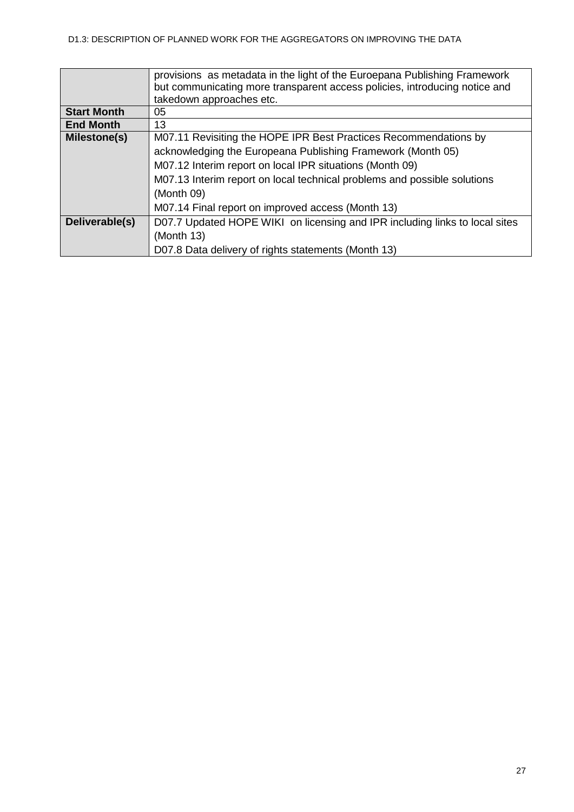|                    | provisions as metadata in the light of the Euroepana Publishing Framework<br>but communicating more transparent access policies, introducing notice and<br>takedown approaches etc. |  |  |  |  |  |  |  |  |  |
|--------------------|-------------------------------------------------------------------------------------------------------------------------------------------------------------------------------------|--|--|--|--|--|--|--|--|--|
| <b>Start Month</b> | 05.                                                                                                                                                                                 |  |  |  |  |  |  |  |  |  |
| <b>End Month</b>   | 13                                                                                                                                                                                  |  |  |  |  |  |  |  |  |  |
| Milestone(s)       | M07.11 Revisiting the HOPE IPR Best Practices Recommendations by                                                                                                                    |  |  |  |  |  |  |  |  |  |
|                    | acknowledging the Europeana Publishing Framework (Month 05)                                                                                                                         |  |  |  |  |  |  |  |  |  |
|                    | M07.12 Interim report on local IPR situations (Month 09)                                                                                                                            |  |  |  |  |  |  |  |  |  |
|                    | M07.13 Interim report on local technical problems and possible solutions                                                                                                            |  |  |  |  |  |  |  |  |  |
|                    | (Month 09)                                                                                                                                                                          |  |  |  |  |  |  |  |  |  |
|                    | M07.14 Final report on improved access (Month 13)                                                                                                                                   |  |  |  |  |  |  |  |  |  |
| Deliverable(s)     | D07.7 Updated HOPE WIKI on licensing and IPR including links to local sites                                                                                                         |  |  |  |  |  |  |  |  |  |
|                    | (Month 13)                                                                                                                                                                          |  |  |  |  |  |  |  |  |  |
|                    | D07.8 Data delivery of rights statements (Month 13)                                                                                                                                 |  |  |  |  |  |  |  |  |  |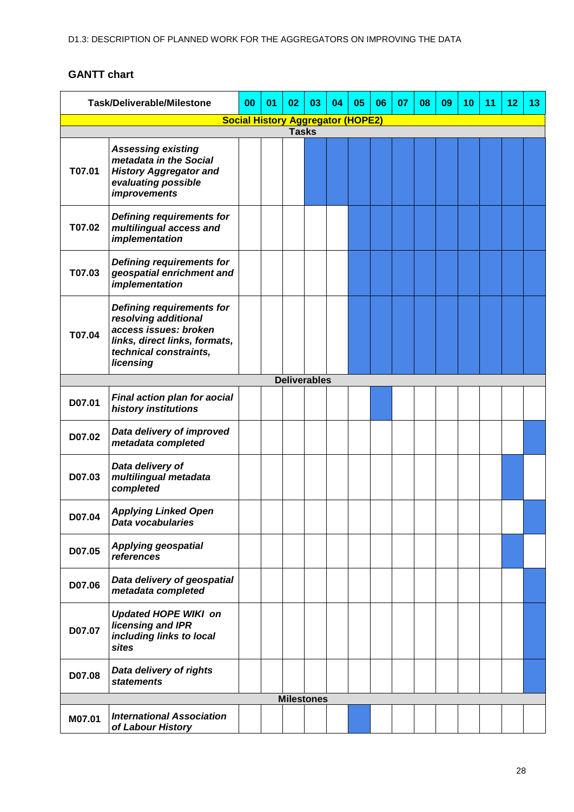<span id="page-27-0"></span>

| <b>Task/Deliverable/Milestone</b>        |                                                                                                                                                           | 00 | 01 | 02                  | 03 | 04 | 05 | 06 | 07 | 08 | 09 | 10 | 11 | 12 | 13 |
|------------------------------------------|-----------------------------------------------------------------------------------------------------------------------------------------------------------|----|----|---------------------|----|----|----|----|----|----|----|----|----|----|----|
| <b>Social History Aggregator (HOPE2)</b> |                                                                                                                                                           |    |    |                     |    |    |    |    |    |    |    |    |    |    |    |
| <b>Tasks</b>                             |                                                                                                                                                           |    |    |                     |    |    |    |    |    |    |    |    |    |    |    |
| T07.01                                   | <b>Assessing existing</b><br>metadata in the Social<br><b>History Aggregator and</b><br>evaluating possible<br><i>improvements</i>                        |    |    |                     |    |    |    |    |    |    |    |    |    |    |    |
| T07.02                                   | <b>Defining requirements for</b><br>multilingual access and<br>implementation                                                                             |    |    |                     |    |    |    |    |    |    |    |    |    |    |    |
| T07.03                                   | Defining requirements for<br>geospatial enrichment and<br>implementation                                                                                  |    |    |                     |    |    |    |    |    |    |    |    |    |    |    |
| T07.04                                   | <b>Defining requirements for</b><br>resolving additional<br>access issues: broken<br>links, direct links, formats,<br>technical constraints,<br>licensing |    |    |                     |    |    |    |    |    |    |    |    |    |    |    |
|                                          |                                                                                                                                                           |    |    | <b>Deliverables</b> |    |    |    |    |    |    |    |    |    |    |    |
| D07.01                                   | Final action plan for aocial<br>history institutions                                                                                                      |    |    |                     |    |    |    |    |    |    |    |    |    |    |    |
| D07.02                                   | Data delivery of improved<br>metadata completed                                                                                                           |    |    |                     |    |    |    |    |    |    |    |    |    |    |    |
| D07.03                                   | Data delivery of<br>multilingual metadata<br>completed                                                                                                    |    |    |                     |    |    |    |    |    |    |    |    |    |    |    |
| D07.04                                   | <b>Applying Linked Open</b><br>Data vocabularies                                                                                                          |    |    |                     |    |    |    |    |    |    |    |    |    |    |    |
| D07.05                                   | <b>Applying geospatial</b><br>references                                                                                                                  |    |    |                     |    |    |    |    |    |    |    |    |    |    |    |
| D07.06                                   | Data delivery of geospatial<br>metadata completed                                                                                                         |    |    |                     |    |    |    |    |    |    |    |    |    |    |    |
| D07.07                                   | <b>Updated HOPE WIKI on</b><br>licensing and IPR<br>including links to local<br>sites                                                                     |    |    |                     |    |    |    |    |    |    |    |    |    |    |    |
| D07.08                                   | Data delivery of rights<br><b>statements</b>                                                                                                              |    |    |                     |    |    |    |    |    |    |    |    |    |    |    |
|                                          |                                                                                                                                                           |    |    | <b>Milestones</b>   |    |    |    |    |    |    |    |    |    |    |    |
| M07.01                                   | <b>International Association</b><br>of Labour History                                                                                                     |    |    |                     |    |    |    |    |    |    |    |    |    |    |    |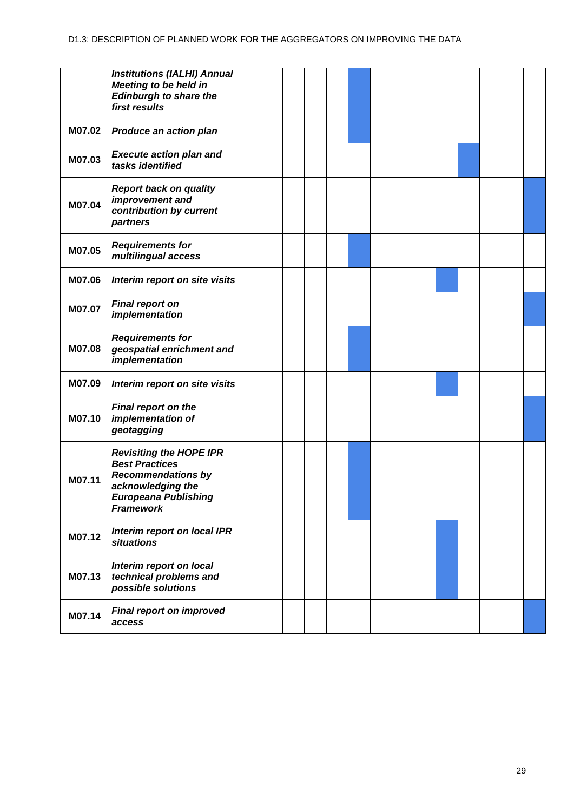|        | <b>Institutions (IALHI) Annual</b><br><b>Meeting to be held in</b><br><b>Edinburgh to share the</b><br>first results                                  |  |  |  |  |  |  |  |
|--------|-------------------------------------------------------------------------------------------------------------------------------------------------------|--|--|--|--|--|--|--|
| M07.02 | Produce an action plan                                                                                                                                |  |  |  |  |  |  |  |
| M07.03 | <b>Execute action plan and</b><br>tasks identified                                                                                                    |  |  |  |  |  |  |  |
| M07.04 | <b>Report back on quality</b><br>improvement and<br>contribution by current<br>partners                                                               |  |  |  |  |  |  |  |
| M07.05 | <b>Requirements for</b><br>multilingual access                                                                                                        |  |  |  |  |  |  |  |
| M07.06 | Interim report on site visits                                                                                                                         |  |  |  |  |  |  |  |
| M07.07 | <b>Final report on</b><br>implementation                                                                                                              |  |  |  |  |  |  |  |
| M07.08 | <b>Requirements for</b><br>geospatial enrichment and<br>implementation                                                                                |  |  |  |  |  |  |  |
| M07.09 | Interim report on site visits                                                                                                                         |  |  |  |  |  |  |  |
| M07.10 | Final report on the<br>implementation of<br>geotagging                                                                                                |  |  |  |  |  |  |  |
| M07.11 | <b>Revisiting the HOPE IPR</b><br><b>Best Practices</b><br><b>Recommendations by</b><br>acknowledging the<br>Europeana Publishing<br><b>Framework</b> |  |  |  |  |  |  |  |
| M07.12 | Interim report on local IPR<br><b>situations</b>                                                                                                      |  |  |  |  |  |  |  |
| M07.13 | Interim report on local<br>technical problems and<br>possible solutions                                                                               |  |  |  |  |  |  |  |
| M07.14 | <b>Final report on improved</b><br>access                                                                                                             |  |  |  |  |  |  |  |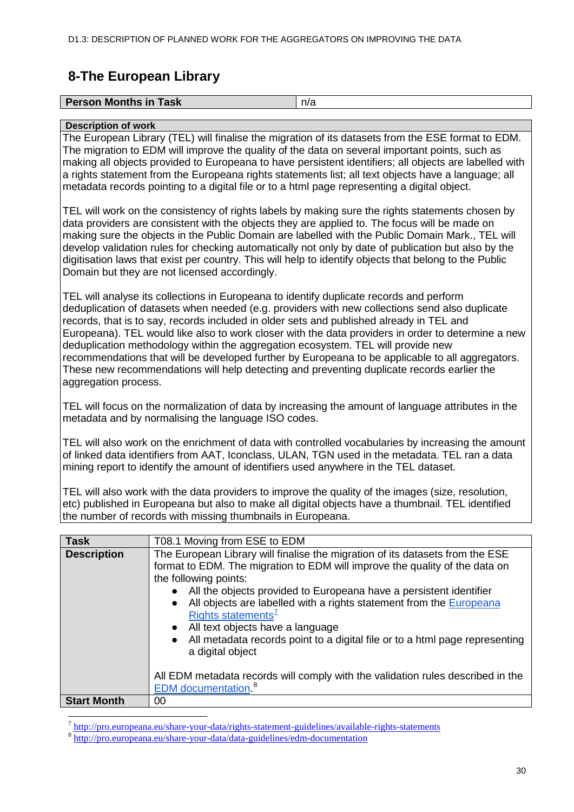# <span id="page-29-0"></span>**8-The European Library**

| <b>Person Months in Task</b> |  |
|------------------------------|--|
|                              |  |

#### **Description of work**

The European Library (TEL) will finalise the migration of its datasets from the ESE format to EDM. The migration to EDM will improve the quality of the data on several important points, such as making all objects provided to Europeana to have persistent identifiers; all objects are labelled with a rights statement from the Europeana rights statements list; all text objects have a language; all metadata records pointing to a digital file or to a html page representing a digital object.

TEL will work on the consistency of rights labels by making sure the rights statements chosen by data providers are consistent with the objects they are applied to. The focus will be made on making sure the objects in the Public Domain are labelled with the Public Domain Mark., TEL will develop validation rules for checking automatically not only by date of publication but also by the digitisation laws that exist per country. This will help to identify objects that belong to the Public Domain but they are not licensed accordingly.

TEL will analyse its collections in Europeana to identify duplicate records and perform deduplication of datasets when needed (e.g. providers with new collections send also duplicate records, that is to say, records included in older sets and published already in TEL and Europeana). TEL would like also to work closer with the data providers in order to determine a new deduplication methodology within the aggregation ecosystem. TEL will provide new recommendations that will be developed further by Europeana to be applicable to all aggregators. These new recommendations will help detecting and preventing duplicate records earlier the aggregation process.

TEL will focus on the normalization of data by increasing the amount of language attributes in the metadata and by normalising the language ISO codes.

TEL will also work on the enrichment of data with controlled vocabularies by increasing the amount of linked data identifiers from AAT, Iconclass, ULAN, TGN used in the metadata. TEL ran a data mining report to identify the amount of identifiers used anywhere in the TEL dataset.

TEL will also work with the data providers to improve the quality of the images (size, resolution, etc) published in Europeana but also to make all digital objects have a thumbnail. TEL identified the number of records with missing thumbnails in Europeana.

| <b>Task</b>        | T08.1 Moving from ESE to EDM                                                                                                                                                                                                                                                                                                                                                                                                                                                                                                                                                                                                                                                     |
|--------------------|----------------------------------------------------------------------------------------------------------------------------------------------------------------------------------------------------------------------------------------------------------------------------------------------------------------------------------------------------------------------------------------------------------------------------------------------------------------------------------------------------------------------------------------------------------------------------------------------------------------------------------------------------------------------------------|
| <b>Description</b> | The European Library will finalise the migration of its datasets from the ESE<br>format to EDM. The migration to EDM will improve the quality of the data on<br>the following points:<br>• All the objects provided to Europeana have a persistent identifier<br>All objects are labelled with a rights statement from the Europeana<br>$\bullet$<br>Rights statements <sup>7</sup><br>All text objects have a language<br>$\bullet$<br>All metadata records point to a digital file or to a html page representing<br>$\bullet$<br>a digital object<br>All EDM metadata records will comply with the validation rules described in the<br><b>EDM</b> documentation <sup>8</sup> |
| <b>Start Month</b> | 00                                                                                                                                                                                                                                                                                                                                                                                                                                                                                                                                                                                                                                                                               |

<span id="page-29-1"></span> $\frac{7}{8}$  <http://pro.europeana.eu/share-your-data/rights-statement-guidelines/available-rights-statements>  $\frac{8}{8}$  <http://pro.europeana.eu/share-your-data/data-guidelines/edm-documentation>

<span id="page-29-2"></span>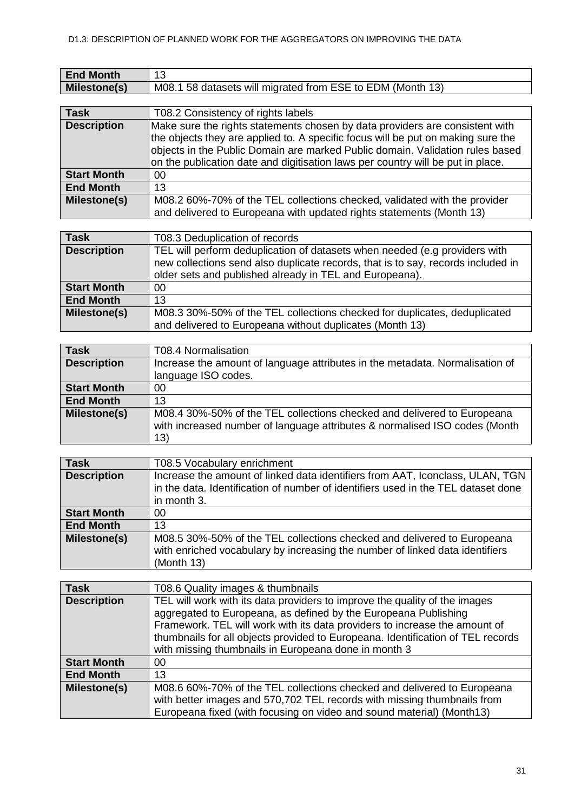| <b>End Month</b>    |                                                                         |
|---------------------|-------------------------------------------------------------------------|
| <b>Milestone(s)</b> | <sup>1</sup> 58 datasets will migrated from ESE to EDM (Month.<br>M08.1 |

| <b>Task</b>        | T08.2 Consistency of rights labels                                                                                                                                                                                                                                                                                                   |
|--------------------|--------------------------------------------------------------------------------------------------------------------------------------------------------------------------------------------------------------------------------------------------------------------------------------------------------------------------------------|
| <b>Description</b> | Make sure the rights statements chosen by data providers are consistent with<br>the objects they are applied to. A specific focus will be put on making sure the<br>objects in the Public Domain are marked Public domain. Validation rules based<br>on the publication date and digitisation laws per country will be put in place. |
| <b>Start Month</b> | 00                                                                                                                                                                                                                                                                                                                                   |
| <b>End Month</b>   | 13                                                                                                                                                                                                                                                                                                                                   |
| Milestone(s)       | M08.2 60%-70% of the TEL collections checked, validated with the provider<br>and delivered to Europeana with updated rights statements (Month 13)                                                                                                                                                                                    |

| <b>Task</b>        | T08.3 Deduplication of records                                                                                                                                                                                            |
|--------------------|---------------------------------------------------------------------------------------------------------------------------------------------------------------------------------------------------------------------------|
| <b>Description</b> | TEL will perform deduplication of datasets when needed (e.g providers with<br>new collections send also duplicate records, that is to say, records included in<br>older sets and published already in TEL and Europeana). |
| <b>Start Month</b> | 00                                                                                                                                                                                                                        |
| <b>End Month</b>   | 13                                                                                                                                                                                                                        |
| Milestone(s)       | M08.3 30%-50% of the TEL collections checked for duplicates, deduplicated<br>and delivered to Europeana without duplicates (Month 13)                                                                                     |

| <b>Task</b>        | T08.4 Normalisation                                                                                                                                          |
|--------------------|--------------------------------------------------------------------------------------------------------------------------------------------------------------|
| <b>Description</b> | Increase the amount of language attributes in the metadata. Normalisation of                                                                                 |
|                    | language ISO codes.                                                                                                                                          |
| <b>Start Month</b> | 00                                                                                                                                                           |
| <b>End Month</b>   | 13                                                                                                                                                           |
| Milestone(s)       | M08.4 30%-50% of the TEL collections checked and delivered to Europeana<br>with increased number of language attributes & normalised ISO codes (Month<br>13) |

| <b>Task</b>        | T08.5 Vocabulary enrichment                                                                                                                                                       |
|--------------------|-----------------------------------------------------------------------------------------------------------------------------------------------------------------------------------|
| <b>Description</b> | Increase the amount of linked data identifiers from AAT, Iconclass, ULAN, TGN<br>in the data. Identification of number of identifiers used in the TEL dataset done<br>in month 3. |
| <b>Start Month</b> | 00                                                                                                                                                                                |
| <b>End Month</b>   | 13                                                                                                                                                                                |
| Milestone(s)       | M08.5 30%-50% of the TEL collections checked and delivered to Europeana<br>with enriched vocabulary by increasing the number of linked data identifiers<br>(Month 13)             |

| <b>Task</b>        | T08.6 Quality images & thumbnails                                                                                                                                                                                                                                                                                                                                      |  |  |  |  |  |  |  |
|--------------------|------------------------------------------------------------------------------------------------------------------------------------------------------------------------------------------------------------------------------------------------------------------------------------------------------------------------------------------------------------------------|--|--|--|--|--|--|--|
| <b>Description</b> | TEL will work with its data providers to improve the quality of the images<br>aggregated to Europeana, as defined by the Europeana Publishing<br>Framework. TEL will work with its data providers to increase the amount of<br>thumbnails for all objects provided to Europeana. Identification of TEL records<br>with missing thumbnails in Europeana done in month 3 |  |  |  |  |  |  |  |
|                    |                                                                                                                                                                                                                                                                                                                                                                        |  |  |  |  |  |  |  |
| <b>Start Month</b> | 00                                                                                                                                                                                                                                                                                                                                                                     |  |  |  |  |  |  |  |
| <b>End Month</b>   | 13                                                                                                                                                                                                                                                                                                                                                                     |  |  |  |  |  |  |  |
| Milestone(s)       | M08.6 60%-70% of the TEL collections checked and delivered to Europeana<br>with better images and 570,702 TEL records with missing thumbnails from<br>Europeana fixed (with focusing on video and sound material) (Month13)                                                                                                                                            |  |  |  |  |  |  |  |